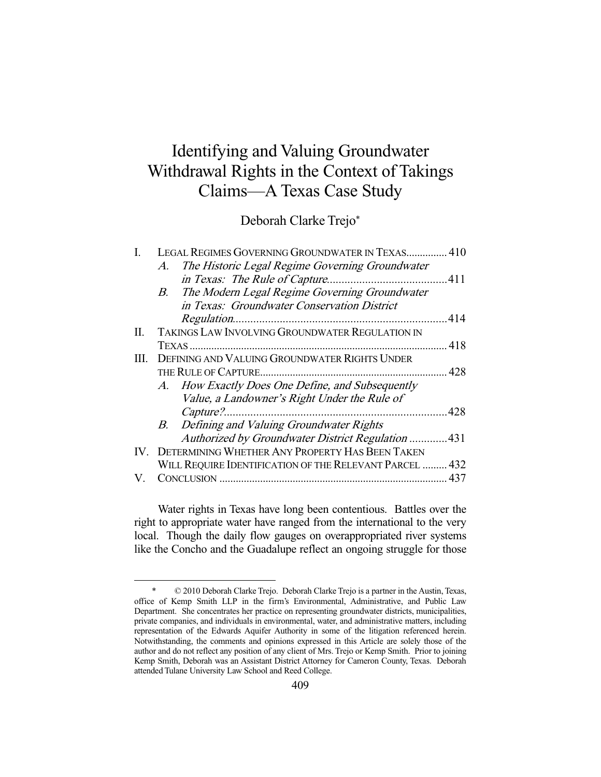# Identifying and Valuing Groundwater Withdrawal Rights in the Context of Takings Claims—A Texas Case Study

Deborah Clarke Trejo\*

|      | LEGAL REGIMES GOVERNING GROUNDWATER IN TEXAS 410        |     |
|------|---------------------------------------------------------|-----|
|      | The Historic Legal Regime Governing Groundwater<br>A.   |     |
|      |                                                         |     |
|      | B. The Modern Legal Regime Governing Groundwater        |     |
|      | in Texas: Groundwater Conservation District             |     |
|      |                                                         | 414 |
| П.   | TAKINGS LAW INVOLVING GROUNDWATER REGULATION IN         |     |
|      |                                                         |     |
| III. | DEFINING AND VALUING GROUNDWATER RIGHTS UNDER           |     |
|      |                                                         |     |
|      | A. How Exactly Does One Define, and Subsequently        |     |
|      | Value, a Landowner's Right Under the Rule of            |     |
|      |                                                         |     |
|      | B. Defining and Valuing Groundwater Rights              |     |
|      | Authorized by Groundwater District Regulation 431       |     |
|      | IV. DETERMINING WHETHER ANY PROPERTY HAS BEEN TAKEN     |     |
|      | WILL REQUIRE IDENTIFICATION OF THE RELEVANT PARCEL  432 |     |
| V.   |                                                         |     |
|      |                                                         |     |

 Water rights in Texas have long been contentious. Battles over the right to appropriate water have ranged from the international to the very local. Though the daily flow gauges on overappropriated river systems like the Concho and the Guadalupe reflect an ongoing struggle for those

 <sup>\* © 2010</sup> Deborah Clarke Trejo. Deborah Clarke Trejo is a partner in the Austin, Texas, office of Kemp Smith LLP in the firm's Environmental, Administrative, and Public Law Department. She concentrates her practice on representing groundwater districts, municipalities, private companies, and individuals in environmental, water, and administrative matters, including representation of the Edwards Aquifer Authority in some of the litigation referenced herein. Notwithstanding, the comments and opinions expressed in this Article are solely those of the author and do not reflect any position of any client of Mrs. Trejo or Kemp Smith. Prior to joining Kemp Smith, Deborah was an Assistant District Attorney for Cameron County, Texas. Deborah attended Tulane University Law School and Reed College.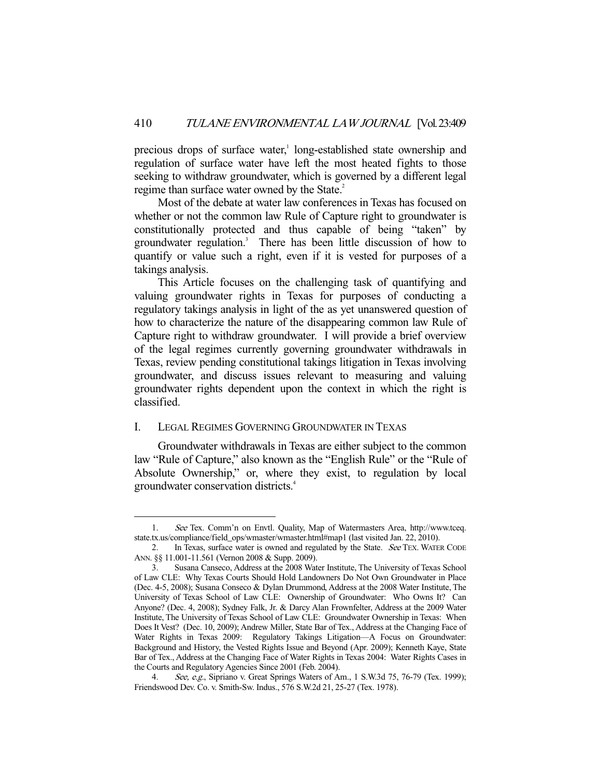precious drops of surface water,<sup>1</sup> long-established state ownership and regulation of surface water have left the most heated fights to those seeking to withdraw groundwater, which is governed by a different legal regime than surface water owned by the State.<sup>2</sup>

 Most of the debate at water law conferences in Texas has focused on whether or not the common law Rule of Capture right to groundwater is constitutionally protected and thus capable of being "taken" by groundwater regulation.<sup>3</sup> There has been little discussion of how to quantify or value such a right, even if it is vested for purposes of a takings analysis.

 This Article focuses on the challenging task of quantifying and valuing groundwater rights in Texas for purposes of conducting a regulatory takings analysis in light of the as yet unanswered question of how to characterize the nature of the disappearing common law Rule of Capture right to withdraw groundwater. I will provide a brief overview of the legal regimes currently governing groundwater withdrawals in Texas, review pending constitutional takings litigation in Texas involving groundwater, and discuss issues relevant to measuring and valuing groundwater rights dependent upon the context in which the right is classified.

#### I. LEGAL REGIMES GOVERNING GROUNDWATER IN TEXAS

-

 Groundwater withdrawals in Texas are either subject to the common law "Rule of Capture," also known as the "English Rule" or the "Rule of Absolute Ownership," or, where they exist, to regulation by local groundwater conservation districts.4

 <sup>1.</sup> See Tex. Comm'n on Envtl. Quality, Map of Watermasters Area, http://www.tceq. state.tx.us/compliance/field\_ops/wmaster/wmaster.html#map1 (last visited Jan. 22, 2010).

<sup>2.</sup> In Texas, surface water is owned and regulated by the State. See TEX. WATER CODE ANN. §§ 11.001-11.561 (Vernon 2008 & Supp. 2009).

 <sup>3.</sup> Susana Canseco, Address at the 2008 Water Institute, The University of Texas School of Law CLE: Why Texas Courts Should Hold Landowners Do Not Own Groundwater in Place (Dec. 4-5, 2008); Susana Conseco & Dylan Drummond, Address at the 2008 Water Institute, The University of Texas School of Law CLE: Ownership of Groundwater: Who Owns It? Can Anyone? (Dec. 4, 2008); Sydney Falk, Jr. & Darcy Alan Frownfelter, Address at the 2009 Water Institute, The University of Texas School of Law CLE: Groundwater Ownership in Texas: When Does It Vest? (Dec. 10, 2009); Andrew Miller, State Bar of Tex., Address at the Changing Face of Water Rights in Texas 2009: Regulatory Takings Litigation—A Focus on Groundwater: Background and History, the Vested Rights Issue and Beyond (Apr. 2009); Kenneth Kaye, State Bar of Tex., Address at the Changing Face of Water Rights in Texas 2004: Water Rights Cases in the Courts and Regulatory Agencies Since 2001 (Feb. 2004).

<sup>4.</sup> See, e.g., Sipriano v. Great Springs Waters of Am., 1 S.W.3d 75, 76-79 (Tex. 1999); Friendswood Dev. Co. v. Smith-Sw. Indus., 576 S.W.2d 21, 25-27 (Tex. 1978).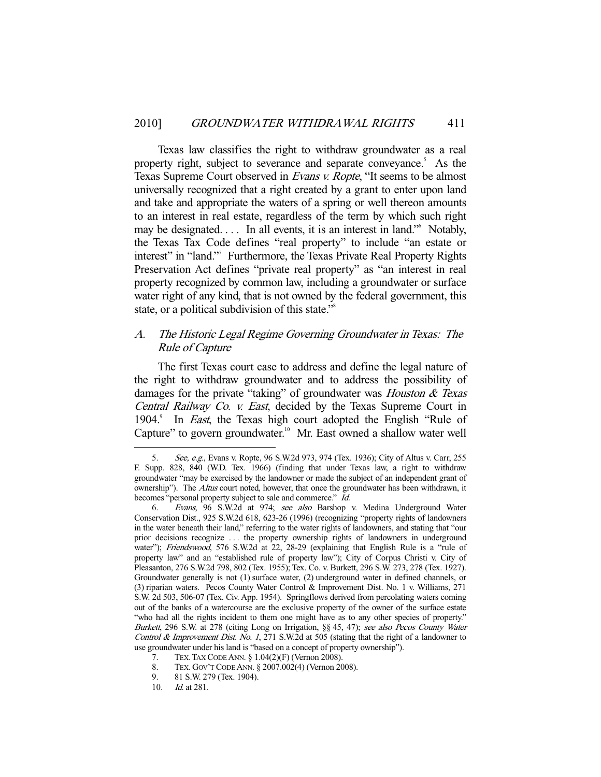Texas law classifies the right to withdraw groundwater as a real property right, subject to severance and separate conveyance.<sup>5</sup> As the Texas Supreme Court observed in Evans v. Ropte, "It seems to be almost universally recognized that a right created by a grant to enter upon land and take and appropriate the waters of a spring or well thereon amounts to an interest in real estate, regardless of the term by which such right may be designated.... In all events, it is an interest in land." Notably, the Texas Tax Code defines "real property" to include "an estate or interest" in "land."<sup>7</sup> Furthermore, the Texas Private Real Property Rights Preservation Act defines "private real property" as "an interest in real property recognized by common law, including a groundwater or surface water right of any kind, that is not owned by the federal government, this state, or a political subdivision of this state."<sup>8</sup>

# A. The Historic Legal Regime Governing Groundwater in Texas: The Rule of Capture

 The first Texas court case to address and define the legal nature of the right to withdraw groundwater and to address the possibility of damages for the private "taking" of groundwater was *Houston & Texas* Central Railway Co. v. East, decided by the Texas Supreme Court in 1904.<sup>9</sup> In *East*, the Texas high court adopted the English "Rule of Capture" to govern groundwater.<sup>10</sup> Mr. East owned a shallow water well

<sup>5.</sup> See, e.g., Evans v. Ropte, 96 S.W.2d 973, 974 (Tex. 1936); City of Altus v. Carr, 255 F. Supp. 828, 840 (W.D. Tex. 1966) (finding that under Texas law, a right to withdraw groundwater "may be exercised by the landowner or made the subject of an independent grant of ownership"). The Altus court noted, however, that once the groundwater has been withdrawn, it becomes "personal property subject to sale and commerce." Id.

 <sup>6.</sup> Evans, 96 S.W.2d at 974; see also Barshop v. Medina Underground Water Conservation Dist., 925 S.W.2d 618, 623-26 (1996) (recognizing "property rights of landowners in the water beneath their land," referring to the water rights of landowners, and stating that "our prior decisions recognize . . . the property ownership rights of landowners in underground water"); Friendswood, 576 S.W.2d at 22, 28-29 (explaining that English Rule is a "rule of property law" and an "established rule of property law"); City of Corpus Christi v. City of Pleasanton, 276 S.W.2d 798, 802 (Tex. 1955); Tex. Co. v. Burkett, 296 S.W. 273, 278 (Tex. 1927). Groundwater generally is not (1) surface water, (2) underground water in defined channels, or (3) riparian waters. Pecos County Water Control & Improvement Dist. No. 1 v. Williams, 271 S.W. 2d 503, 506-07 (Tex. Civ. App. 1954). Springflows derived from percolating waters coming out of the banks of a watercourse are the exclusive property of the owner of the surface estate "who had all the rights incident to them one might have as to any other species of property." Burkett, 296 S.W. at 278 (citing Long on Irrigation, §§ 45, 47); see also Pecos County Water Control & Improvement Dist. No. 1, 271 S.W.2d at 505 (stating that the right of a landowner to use groundwater under his land is "based on a concept of property ownership").

 <sup>7.</sup> TEX.TAX CODE ANN. § 1.04(2)(F) (Vernon 2008).

 <sup>8.</sup> TEX. GOV'T CODE ANN. § 2007.002(4) (Vernon 2008).

 <sup>9. 81</sup> S.W. 279 (Tex. 1904).

 <sup>10.</sup> Id. at 281.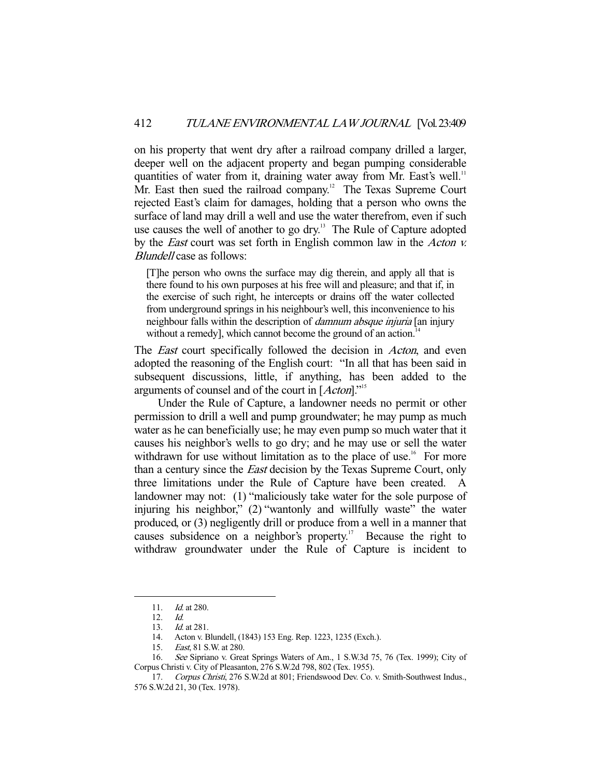on his property that went dry after a railroad company drilled a larger, deeper well on the adjacent property and began pumping considerable quantities of water from it, draining water away from Mr. East's well.<sup>11</sup> Mr. East then sued the railroad company.<sup>12</sup> The Texas Supreme Court rejected East's claim for damages, holding that a person who owns the surface of land may drill a well and use the water therefrom, even if such use causes the well of another to go dry.<sup>13</sup> The Rule of Capture adopted by the *East* court was set forth in English common law in the *Acton v.* Blundell case as follows:

[T]he person who owns the surface may dig therein, and apply all that is there found to his own purposes at his free will and pleasure; and that if, in the exercise of such right, he intercepts or drains off the water collected from underground springs in his neighbour's well, this inconvenience to his neighbour falls within the description of *damnum absque injuria* [an injury without a remedy], which cannot become the ground of an action.<sup>14</sup>

The *East* court specifically followed the decision in *Acton*, and even adopted the reasoning of the English court: "In all that has been said in subsequent discussions, little, if anything, has been added to the arguments of counsel and of the court in [Acton]."<sup>15</sup>

 Under the Rule of Capture, a landowner needs no permit or other permission to drill a well and pump groundwater; he may pump as much water as he can beneficially use; he may even pump so much water that it causes his neighbor's wells to go dry; and he may use or sell the water withdrawn for use without limitation as to the place of use.<sup>16</sup> For more than a century since the East decision by the Texas Supreme Court, only three limitations under the Rule of Capture have been created. A landowner may not: (1) "maliciously take water for the sole purpose of injuring his neighbor," (2) "wantonly and willfully waste" the water produced, or (3) negligently drill or produce from a well in a manner that causes subsidence on a neighbor's property.<sup>17</sup> Because the right to withdraw groundwater under the Rule of Capture is incident to

 <sup>11.</sup> Id. at 280.

 <sup>12.</sup> Id.

 <sup>13.</sup> Id. at 281.

 <sup>14.</sup> Acton v. Blundell, (1843) 153 Eng. Rep. 1223, 1235 (Exch.).

 <sup>15.</sup> East, 81 S.W. at 280.

 <sup>16.</sup> See Sipriano v. Great Springs Waters of Am., 1 S.W.3d 75, 76 (Tex. 1999); City of Corpus Christi v. City of Pleasanton, 276 S.W.2d 798, 802 (Tex. 1955).

 <sup>17.</sup> Corpus Christi, 276 S.W.2d at 801; Friendswood Dev. Co. v. Smith-Southwest Indus., 576 S.W.2d 21, 30 (Tex. 1978).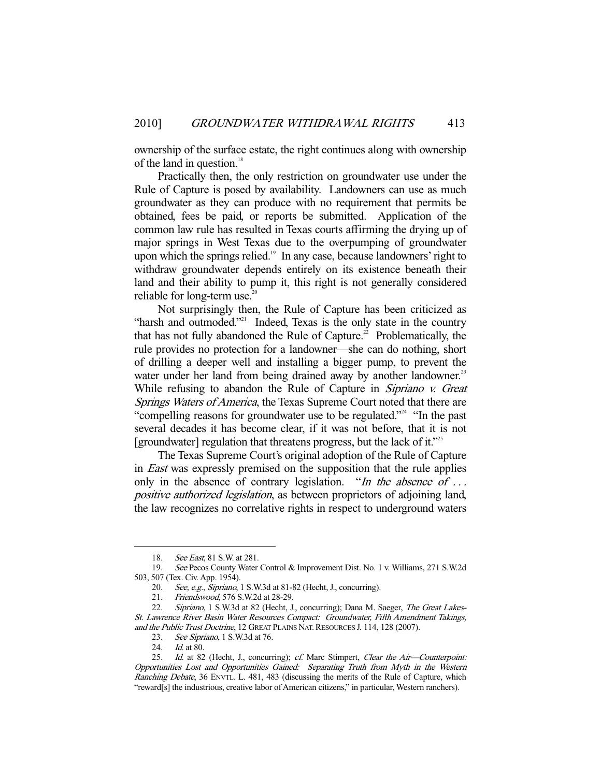ownership of the surface estate, the right continues along with ownership of the land in question.<sup>18</sup>

 Practically then, the only restriction on groundwater use under the Rule of Capture is posed by availability. Landowners can use as much groundwater as they can produce with no requirement that permits be obtained, fees be paid, or reports be submitted. Application of the common law rule has resulted in Texas courts affirming the drying up of major springs in West Texas due to the overpumping of groundwater upon which the springs relied. $19$  In any case, because landowners' right to withdraw groundwater depends entirely on its existence beneath their land and their ability to pump it, this right is not generally considered reliable for long-term use. $20$ 

 Not surprisingly then, the Rule of Capture has been criticized as "harsh and outmoded."<sup>21</sup> Indeed, Texas is the only state in the country that has not fully abandoned the Rule of Capture.<sup>22</sup> Problematically, the rule provides no protection for a landowner—she can do nothing, short of drilling a deeper well and installing a bigger pump, to prevent the water under her land from being drained away by another landowner.<sup>23</sup> While refusing to abandon the Rule of Capture in *Sipriano v. Great* Springs Waters of America, the Texas Supreme Court noted that there are "compelling reasons for groundwater use to be regulated."<sup>24</sup> "In the past several decades it has become clear, if it was not before, that it is not [groundwater] regulation that threatens progress, but the lack of it."<sup>25</sup>

 The Texas Supreme Court's original adoption of the Rule of Capture in East was expressly premised on the supposition that the rule applies only in the absence of contrary legislation. "In the absence of ... positive authorized legislation, as between proprietors of adjoining land, the law recognizes no correlative rights in respect to underground waters

<sup>18.</sup> See East, 81 S.W. at 281.

 <sup>19.</sup> See Pecos County Water Control & Improvement Dist. No. 1 v. Williams, 271 S.W.2d 503, 507 (Tex. Civ. App. 1954).

<sup>20.</sup> See, e.g., Sipriano, 1 S.W.3d at 81-82 (Hecht, J., concurring).

 <sup>21.</sup> Friendswood, 576 S.W.2d at 28-29.

<sup>22.</sup> Sipriano, 1 S.W.3d at 82 (Hecht, J., concurring); Dana M. Saeger, The Great Lakes-St. Lawrence River Basin Water Resources Compact: Groundwater, Fifth Amendment Takings, and the Public Trust Doctrine, 12 GREAT PLAINS NAT. RESOURCES J. 114, 128 (2007).

 <sup>23.</sup> See Sipriano, 1 S.W.3d at 76.

<sup>24.</sup> *Id.* at 80.

<sup>25.</sup> Id. at 82 (Hecht, J., concurring); cf. Marc Stimpert, Clear the Air-Counterpoint: Opportunities Lost and Opportunities Gained: Separating Truth from Myth in the Western Ranching Debate, 36 ENVTL. L. 481, 483 (discussing the merits of the Rule of Capture, which "reward[s] the industrious, creative labor of American citizens," in particular, Western ranchers).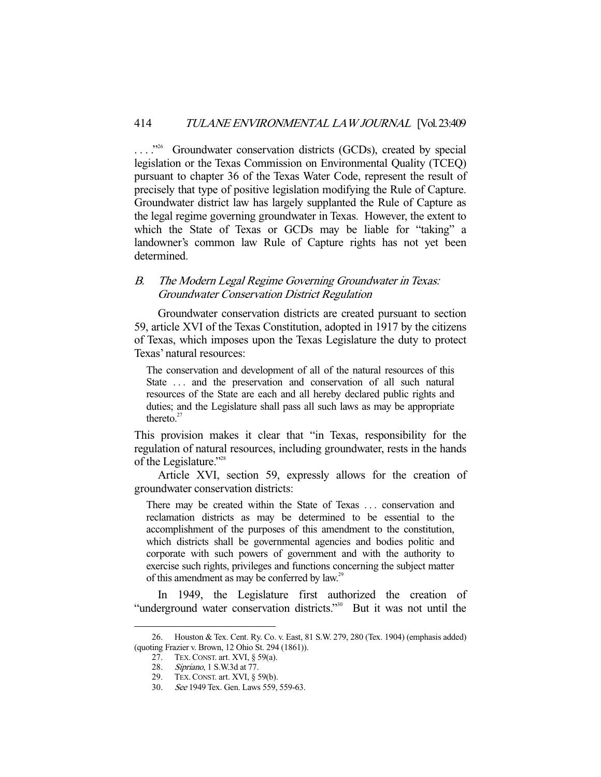...."<sup>26</sup> Groundwater conservation districts (GCDs), created by special legislation or the Texas Commission on Environmental Quality (TCEQ) pursuant to chapter 36 of the Texas Water Code, represent the result of precisely that type of positive legislation modifying the Rule of Capture. Groundwater district law has largely supplanted the Rule of Capture as the legal regime governing groundwater in Texas. However, the extent to which the State of Texas or GCDs may be liable for "taking" a landowner's common law Rule of Capture rights has not yet been determined.

# B. The Modern Legal Regime Governing Groundwater in Texas: Groundwater Conservation District Regulation

 Groundwater conservation districts are created pursuant to section 59, article XVI of the Texas Constitution, adopted in 1917 by the citizens of Texas, which imposes upon the Texas Legislature the duty to protect Texas' natural resources:

The conservation and development of all of the natural resources of this State ... and the preservation and conservation of all such natural resources of the State are each and all hereby declared public rights and duties; and the Legislature shall pass all such laws as may be appropriate thereto. $27$ 

This provision makes it clear that "in Texas, responsibility for the regulation of natural resources, including groundwater, rests in the hands of the Legislature."<sup>28</sup>

 Article XVI, section 59, expressly allows for the creation of groundwater conservation districts:

There may be created within the State of Texas . . . conservation and reclamation districts as may be determined to be essential to the accomplishment of the purposes of this amendment to the constitution, which districts shall be governmental agencies and bodies politic and corporate with such powers of government and with the authority to exercise such rights, privileges and functions concerning the subject matter of this amendment as may be conferred by law.<sup>29</sup>

 In 1949, the Legislature first authorized the creation of "underground water conservation districts."<sup>30</sup> But it was not until the

 <sup>26.</sup> Houston & Tex. Cent. Ry. Co. v. East, 81 S.W. 279, 280 (Tex. 1904) (emphasis added) (quoting Frazier v. Brown, 12 Ohio St. 294 (1861)).

 <sup>27.</sup> TEX.CONST. art. XVI, § 59(a).

<sup>28.</sup> Sipriano, 1 S.W.3d at 77.

 <sup>29.</sup> TEX.CONST. art. XVI, § 59(b).

 <sup>30.</sup> See 1949 Tex. Gen. Laws 559, 559-63.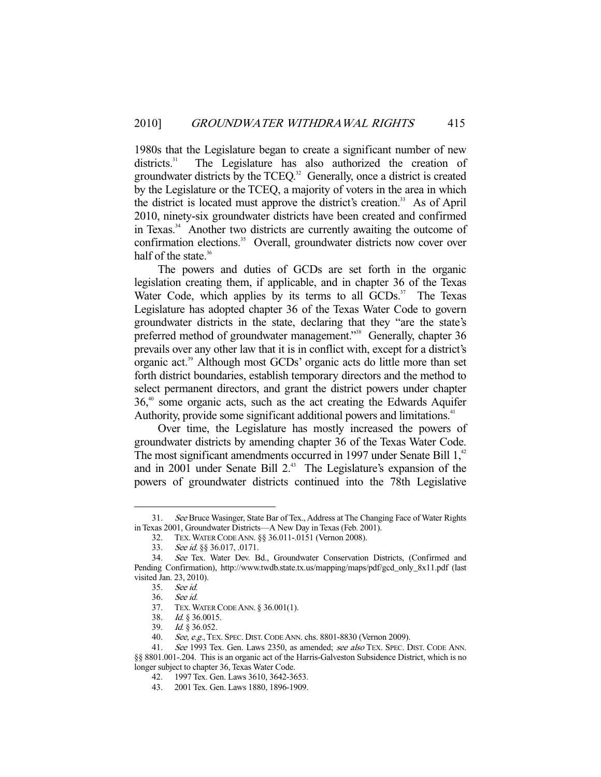1980s that the Legislature began to create a significant number of new districts.<sup>31</sup> The Legislature has also authorized the creation of groundwater districts by the TCEQ.<sup>32</sup> Generally, once a district is created by the Legislature or the TCEQ, a majority of voters in the area in which the district is located must approve the district's creation.<sup>33</sup> As of April 2010, ninety-six groundwater districts have been created and confirmed in Texas.<sup>34</sup> Another two districts are currently awaiting the outcome of confirmation elections.<sup>35</sup> Overall, groundwater districts now cover over half of the state. $36$ 

 The powers and duties of GCDs are set forth in the organic legislation creating them, if applicable, and in chapter 36 of the Texas Water Code, which applies by its terms to all  $GCDs$ <sup>37</sup> The Texas Legislature has adopted chapter 36 of the Texas Water Code to govern groundwater districts in the state, declaring that they "are the state's preferred method of groundwater management."38 Generally, chapter 36 prevails over any other law that it is in conflict with, except for a district's organic act.39 Although most GCDs' organic acts do little more than set forth district boundaries, establish temporary directors and the method to select permanent directors, and grant the district powers under chapter  $36<sup>40</sup>$  some organic acts, such as the act creating the Edwards Aquifer Authority, provide some significant additional powers and limitations.<sup>41</sup>

 Over time, the Legislature has mostly increased the powers of groundwater districts by amending chapter 36 of the Texas Water Code. The most significant amendments occurred in 1997 under Senate Bill  $1<sup>42</sup>$ and in 2001 under Senate Bill 2.<sup>43</sup> The Legislature's expansion of the powers of groundwater districts continued into the 78th Legislative

 <sup>31.</sup> See Bruce Wasinger, State Bar of Tex., Address at The Changing Face of Water Rights in Texas 2001, Groundwater Districts—A New Day in Texas (Feb. 2001).

 <sup>32.</sup> TEX.WATER CODE ANN. §§ 36.011-.0151 (Vernon 2008).

 <sup>33.</sup> See id. §§ 36.017, .0171.

 <sup>34.</sup> See Tex. Water Dev. Bd., Groundwater Conservation Districts, (Confirmed and Pending Confirmation), http://www.twdb.state.tx.us/mapping/maps/pdf/gcd\_only\_8x11.pdf (last visited Jan. 23, 2010).

 <sup>35.</sup> See id.

 <sup>36.</sup> See id.

 <sup>37.</sup> TEX.WATER CODE ANN. § 36.001(1).

 <sup>38.</sup> Id. § 36.0015.

 <sup>39.</sup> Id. § 36.052.

<sup>40.</sup> See, e.g., TEX. SPEC. DIST. CODE ANN. chs. 8801-8830 (Vernon 2009).

<sup>41.</sup> See 1993 Tex. Gen. Laws 2350, as amended; see also TEX. SPEC. DIST. CODE ANN. §§ 8801.001-.204. This is an organic act of the Harris-Galveston Subsidence District, which is no longer subject to chapter 36, Texas Water Code.

 <sup>42. 1997</sup> Tex. Gen. Laws 3610, 3642-3653.

 <sup>43. 2001</sup> Tex. Gen. Laws 1880, 1896-1909.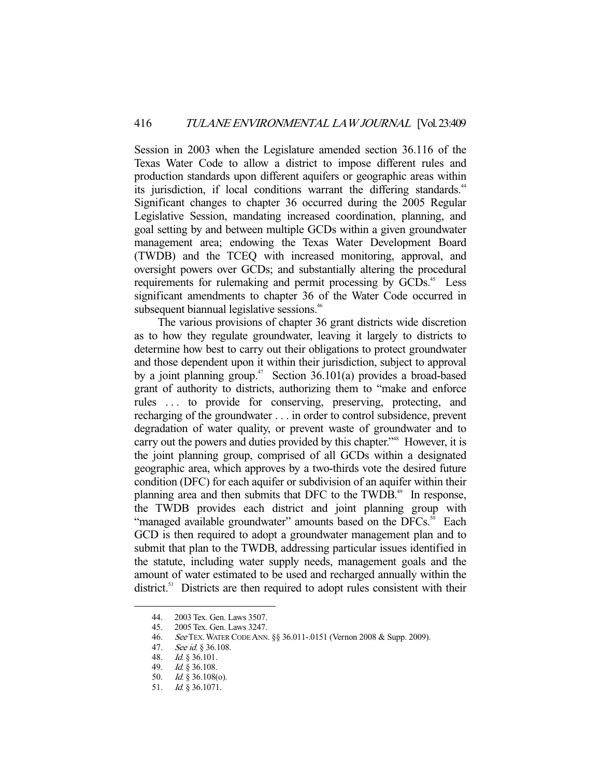Session in 2003 when the Legislature amended section 36.116 of the Texas Water Code to allow a district to impose different rules and production standards upon different aquifers or geographic areas within its jurisdiction, if local conditions warrant the differing standards.<sup>44</sup> Significant changes to chapter 36 occurred during the 2005 Regular Legislative Session, mandating increased coordination, planning, and goal setting by and between multiple GCDs within a given groundwater management area; endowing the Texas Water Development Board (TWDB) and the TCEQ with increased monitoring, approval, and oversight powers over GCDs; and substantially altering the procedural requirements for rulemaking and permit processing by GCDs.<sup>45</sup> Less significant amendments to chapter 36 of the Water Code occurred in subsequent biannual legislative sessions.<sup>46</sup>

 The various provisions of chapter 36 grant districts wide discretion as to how they regulate groundwater, leaving it largely to districts to determine how best to carry out their obligations to protect groundwater and those dependent upon it within their jurisdiction, subject to approval by a joint planning group.<sup>47</sup> Section  $36.101(a)$  provides a broad-based grant of authority to districts, authorizing them to "make and enforce rules . . . to provide for conserving, preserving, protecting, and recharging of the groundwater . . . in order to control subsidence, prevent degradation of water quality, or prevent waste of groundwater and to carry out the powers and duties provided by this chapter.<sup>348</sup> However, it is the joint planning group, comprised of all GCDs within a designated geographic area, which approves by a two-thirds vote the desired future condition (DFC) for each aquifer or subdivision of an aquifer within their planning area and then submits that DFC to the TWDB.<sup>49</sup> In response, the TWDB provides each district and joint planning group with "managed available groundwater" amounts based on the DFCs.<sup>50</sup> Each GCD is then required to adopt a groundwater management plan and to submit that plan to the TWDB, addressing particular issues identified in the statute, including water supply needs, management goals and the amount of water estimated to be used and recharged annually within the district.<sup>51</sup> Districts are then required to adopt rules consistent with their

 <sup>44. 2003</sup> Tex. Gen. Laws 3507.

<sup>2005</sup> Tex. Gen. Laws 3247.

<sup>46.</sup> See TEX. WATER CODE ANN. §§ 36.011-.0151 (Vernon 2008 & Supp. 2009).<br>47. See id. § 36.108.<br>48. Id. § 36.101.

See id. § 36.108.

 $Id.$  § 36.101.

 <sup>49.</sup> Id. § 36.108.

 <sup>50.</sup> Id. § 36.108(o).

 <sup>51.</sup> Id. § 36.1071.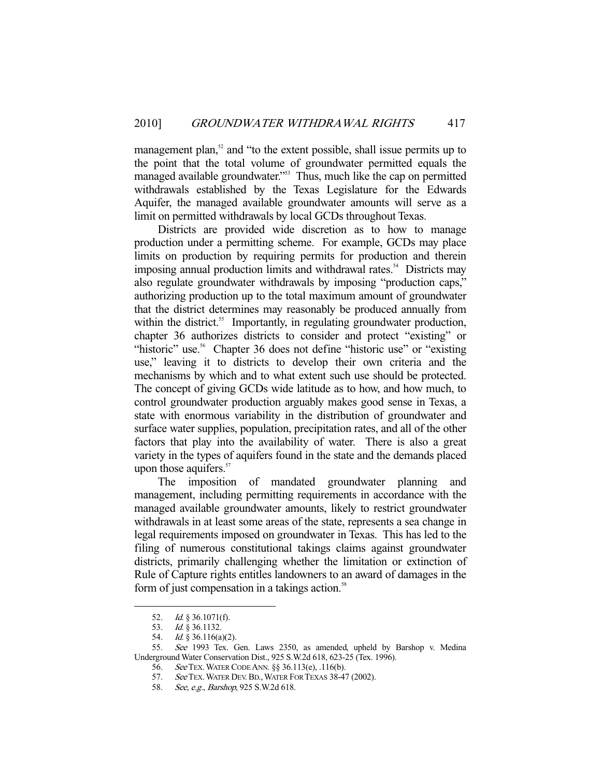management plan,<sup>52</sup> and "to the extent possible, shall issue permits up to the point that the total volume of groundwater permitted equals the managed available groundwater."<sup>53</sup> Thus, much like the cap on permitted withdrawals established by the Texas Legislature for the Edwards Aquifer, the managed available groundwater amounts will serve as a limit on permitted withdrawals by local GCDs throughout Texas.

 Districts are provided wide discretion as to how to manage production under a permitting scheme. For example, GCDs may place limits on production by requiring permits for production and therein imposing annual production limits and withdrawal rates.<sup>54</sup> Districts may also regulate groundwater withdrawals by imposing "production caps," authorizing production up to the total maximum amount of groundwater that the district determines may reasonably be produced annually from within the district.<sup>55</sup> Importantly, in regulating groundwater production, chapter 36 authorizes districts to consider and protect "existing" or "historic" use.<sup>56</sup> Chapter 36 does not define "historic use" or "existing" use," leaving it to districts to develop their own criteria and the mechanisms by which and to what extent such use should be protected. The concept of giving GCDs wide latitude as to how, and how much, to control groundwater production arguably makes good sense in Texas, a state with enormous variability in the distribution of groundwater and surface water supplies, population, precipitation rates, and all of the other factors that play into the availability of water. There is also a great variety in the types of aquifers found in the state and the demands placed upon those aquifers.<sup>57</sup>

 The imposition of mandated groundwater planning and management, including permitting requirements in accordance with the managed available groundwater amounts, likely to restrict groundwater withdrawals in at least some areas of the state, represents a sea change in legal requirements imposed on groundwater in Texas. This has led to the filing of numerous constitutional takings claims against groundwater districts, primarily challenging whether the limitation or extinction of Rule of Capture rights entitles landowners to an award of damages in the form of just compensation in a takings action.<sup>58</sup>

 <sup>52.</sup> Id. § 36.1071(f).

 <sup>53.</sup> Id. § 36.1132.

<sup>54.</sup> *Id.* § 36.116(a)(2).

 <sup>55.</sup> See 1993 Tex. Gen. Laws 2350, as amended, upheld by Barshop v. Medina Underground Water Conservation Dist., 925 S.W.2d 618, 623-25 (Tex. 1996).

 <sup>56.</sup> See TEX.WATER CODE ANN. §§ 36.113(e), .116(b).

<sup>57.</sup> See TEX. WATER DEV. BD., WATER FOR TEXAS 38-47 (2002).

 <sup>58.</sup> See, e.g., Barshop, 925 S.W.2d 618.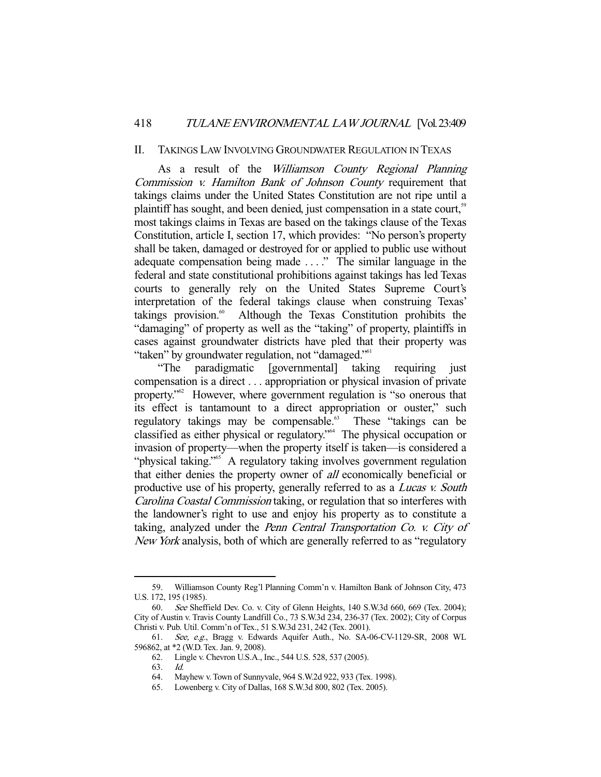## 418 TULANE ENVIRONMENTAL LAW JOURNAL [Vol. 23:409

#### II. TAKINGS LAW INVOLVING GROUNDWATER REGULATION IN TEXAS

 As a result of the Williamson County Regional Planning Commission v. Hamilton Bank of Johnson County requirement that takings claims under the United States Constitution are not ripe until a plaintiff has sought, and been denied, just compensation in a state court,<sup>59</sup> most takings claims in Texas are based on the takings clause of the Texas Constitution, article I, section 17, which provides: "No person's property shall be taken, damaged or destroyed for or applied to public use without adequate compensation being made . . . ." The similar language in the federal and state constitutional prohibitions against takings has led Texas courts to generally rely on the United States Supreme Court's interpretation of the federal takings clause when construing Texas' takings provision. $\omega$  Although the Texas Constitution prohibits the "damaging" of property as well as the "taking" of property, plaintiffs in cases against groundwater districts have pled that their property was "taken" by groundwater regulation, not "damaged."<sup>61</sup>

 "The paradigmatic [governmental] taking requiring just compensation is a direct . . . appropriation or physical invasion of private property."62 However, where government regulation is "so onerous that its effect is tantamount to a direct appropriation or ouster," such regulatory takings may be compensable.<sup>63</sup> These "takings can be classified as either physical or regulatory."64 The physical occupation or invasion of property—when the property itself is taken—is considered a "physical taking."<sup>65</sup> A regulatory taking involves government regulation that either denies the property owner of all economically beneficial or productive use of his property, generally referred to as a *Lucas v. South* Carolina Coastal Commission taking, or regulation that so interferes with the landowner's right to use and enjoy his property as to constitute a taking, analyzed under the Penn Central Transportation Co. v. City of New York analysis, both of which are generally referred to as "regulatory

 <sup>59.</sup> Williamson County Reg'l Planning Comm'n v. Hamilton Bank of Johnson City, 473 U.S. 172, 195 (1985).

 <sup>60.</sup> See Sheffield Dev. Co. v. City of Glenn Heights, 140 S.W.3d 660, 669 (Tex. 2004); City of Austin v. Travis County Landfill Co., 73 S.W.3d 234, 236-37 (Tex. 2002); City of Corpus Christi v. Pub. Util. Comm'n of Tex., 51 S.W.3d 231, 242 (Tex. 2001).

 <sup>61.</sup> See, e.g., Bragg v. Edwards Aquifer Auth., No. SA-06-CV-1129-SR, 2008 WL 596862, at \*2 (W.D. Tex. Jan. 9, 2008).

 <sup>62.</sup> Lingle v. Chevron U.S.A., Inc., 544 U.S. 528, 537 (2005).

 <sup>63.</sup> Id.

 <sup>64.</sup> Mayhew v. Town of Sunnyvale, 964 S.W.2d 922, 933 (Tex. 1998).

 <sup>65.</sup> Lowenberg v. City of Dallas, 168 S.W.3d 800, 802 (Tex. 2005).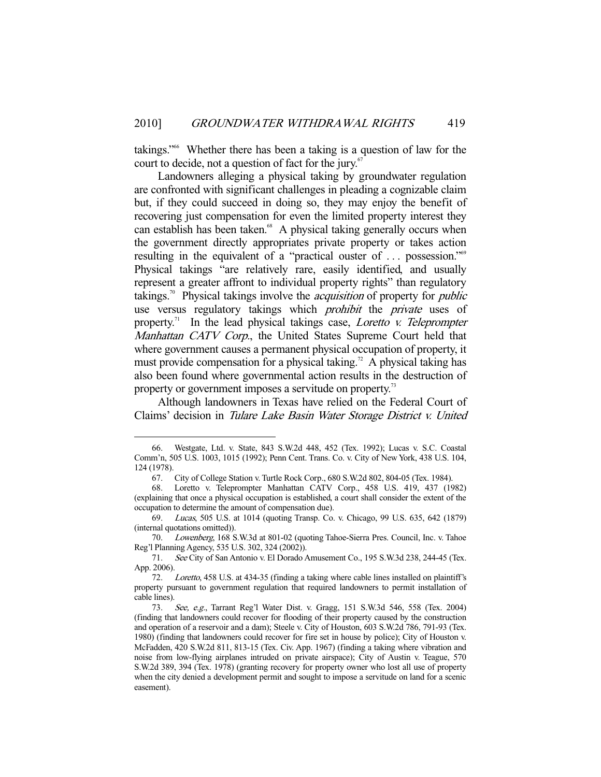takings."66 Whether there has been a taking is a question of law for the court to decide, not a question of fact for the jury. $67$ 

 Landowners alleging a physical taking by groundwater regulation are confronted with significant challenges in pleading a cognizable claim but, if they could succeed in doing so, they may enjoy the benefit of recovering just compensation for even the limited property interest they can establish has been taken.<sup>68</sup> A physical taking generally occurs when the government directly appropriates private property or takes action resulting in the equivalent of a "practical ouster of ... possession."<sup>69</sup> Physical takings "are relatively rare, easily identified, and usually represent a greater affront to individual property rights" than regulatory takings.<sup>70</sup> Physical takings involve the *acquisition* of property for *public* use versus regulatory takings which *prohibit* the *private* uses of property.<sup>71</sup> In the lead physical takings case, *Loretto v. Teleprompter* Manhattan CATV Corp., the United States Supreme Court held that where government causes a permanent physical occupation of property, it must provide compensation for a physical taking.<sup>72</sup> A physical taking has also been found where governmental action results in the destruction of property or government imposes a servitude on property.<sup>73</sup>

 Although landowners in Texas have relied on the Federal Court of Claims' decision in Tulare Lake Basin Water Storage District v. United

 <sup>66.</sup> Westgate, Ltd. v. State, 843 S.W.2d 448, 452 (Tex. 1992); Lucas v. S.C. Coastal Comm'n, 505 U.S. 1003, 1015 (1992); Penn Cent. Trans. Co. v. City of New York, 438 U.S. 104, 124 (1978).

 <sup>67.</sup> City of College Station v. Turtle Rock Corp., 680 S.W.2d 802, 804-05 (Tex. 1984).

 <sup>68.</sup> Loretto v. Teleprompter Manhattan CATV Corp., 458 U.S. 419, 437 (1982) (explaining that once a physical occupation is established, a court shall consider the extent of the occupation to determine the amount of compensation due).

 <sup>69.</sup> Lucas, 505 U.S. at 1014 (quoting Transp. Co. v. Chicago, 99 U.S. 635, 642 (1879) (internal quotations omitted)).

 <sup>70.</sup> Lowenberg, 168 S.W.3d at 801-02 (quoting Tahoe-Sierra Pres. Council, Inc. v. Tahoe Reg'l Planning Agency, 535 U.S. 302, 324 (2002)).

 <sup>71.</sup> See City of San Antonio v. El Dorado Amusement Co., 195 S.W.3d 238, 244-45 (Tex. App. 2006).

 <sup>72.</sup> Loretto, 458 U.S. at 434-35 (finding a taking where cable lines installed on plaintiff's property pursuant to government regulation that required landowners to permit installation of cable lines).

 <sup>73.</sup> See, e.g., Tarrant Reg'l Water Dist. v. Gragg, 151 S.W.3d 546, 558 (Tex. 2004) (finding that landowners could recover for flooding of their property caused by the construction and operation of a reservoir and a dam); Steele v. City of Houston, 603 S.W.2d 786, 791-93 (Tex. 1980) (finding that landowners could recover for fire set in house by police); City of Houston v. McFadden, 420 S.W.2d 811, 813-15 (Tex. Civ. App. 1967) (finding a taking where vibration and noise from low-flying airplanes intruded on private airspace); City of Austin v. Teague, 570 S.W.2d 389, 394 (Tex. 1978) (granting recovery for property owner who lost all use of property when the city denied a development permit and sought to impose a servitude on land for a scenic easement).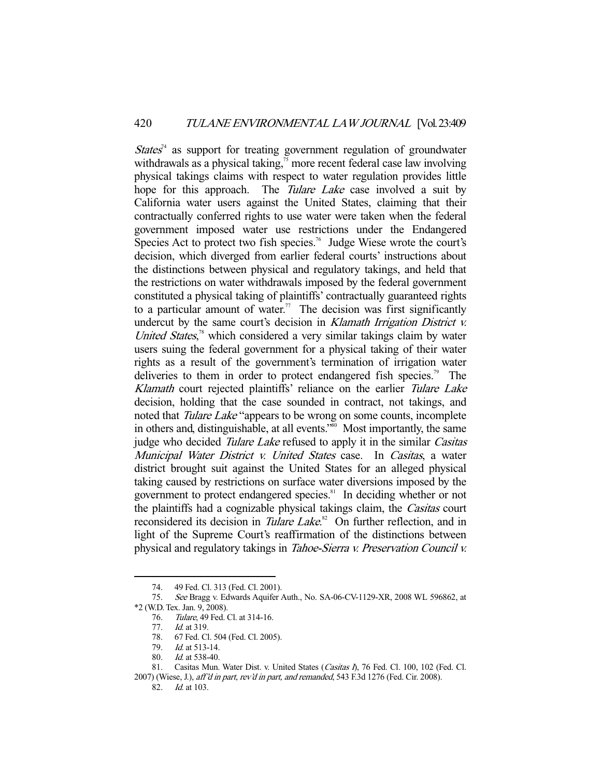$States<sup>34</sup>$  as support for treating government regulation of groundwater withdrawals as a physical taking, $\frac{75}{12}$  more recent federal case law involving physical takings claims with respect to water regulation provides little hope for this approach. The *Tulare Lake* case involved a suit by California water users against the United States, claiming that their contractually conferred rights to use water were taken when the federal government imposed water use restrictions under the Endangered Species Act to protect two fish species.<sup>76</sup> Judge Wiese wrote the court's decision, which diverged from earlier federal courts' instructions about the distinctions between physical and regulatory takings, and held that the restrictions on water withdrawals imposed by the federal government constituted a physical taking of plaintiffs' contractually guaranteed rights to a particular amount of water.<sup>77</sup> The decision was first significantly undercut by the same court's decision in Klamath Irrigation District v. United States,<sup>78</sup> which considered a very similar takings claim by water users suing the federal government for a physical taking of their water rights as a result of the government's termination of irrigation water deliveries to them in order to protect endangered fish species.<sup>79</sup> The Klamath court rejected plaintiffs' reliance on the earlier Tulare Lake decision, holding that the case sounded in contract, not takings, and noted that *Tulare Lake* "appears to be wrong on some counts, incomplete in others and, distinguishable, at all events."<sup>80</sup> Most importantly, the same judge who decided *Tulare Lake* refused to apply it in the similar *Casitas* Municipal Water District v. United States case. In Casitas, a water district brought suit against the United States for an alleged physical taking caused by restrictions on surface water diversions imposed by the government to protect endangered species.<sup>81</sup> In deciding whether or not the plaintiffs had a cognizable physical takings claim, the Casitas court reconsidered its decision in *Tulare Lake*.<sup>82</sup> On further reflection, and in light of the Supreme Court's reaffirmation of the distinctions between physical and regulatory takings in Tahoe-Sierra v. Preservation Council v.

 <sup>74. 49</sup> Fed. Cl. 313 (Fed. Cl. 2001).

<sup>75.</sup> See Bragg v. Edwards Aquifer Auth., No. SA-06-CV-1129-XR, 2008 WL 596862, at \*2 (W.D. Tex. Jan. 9, 2008).

 <sup>76.</sup> Tulare, 49 Fed. Cl. at 314-16.

 <sup>77.</sup> Id. at 319.

 <sup>78. 67</sup> Fed. Cl. 504 (Fed. Cl. 2005).

 <sup>79.</sup> Id. at 513-14.

 <sup>80.</sup> Id. at 538-40.

<sup>81.</sup> Casitas Mun. Water Dist. v. United States (Casitas I), 76 Fed. Cl. 100, 102 (Fed. Cl. 2007) (Wiese, J.), aff'd in part, rev'd in part, and remanded, 543 F.3d 1276 (Fed. Cir. 2008).

 <sup>82.</sup> Id. at 103.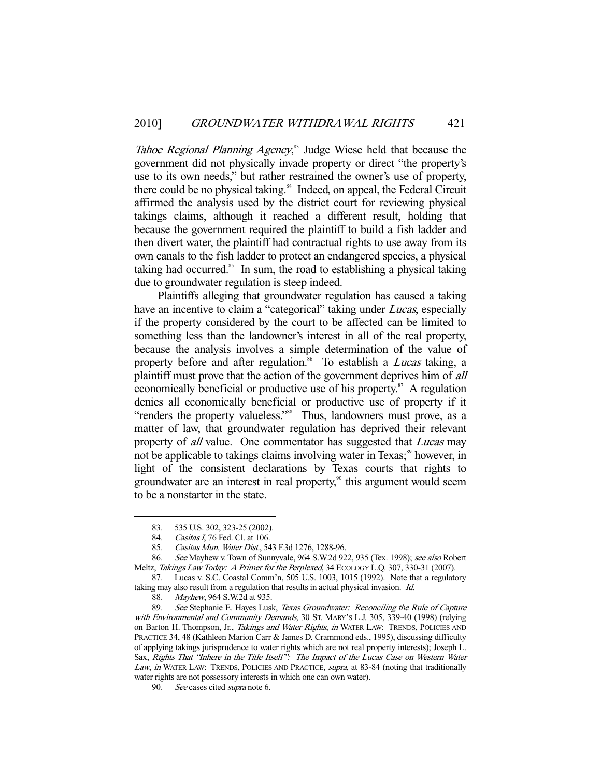Tahoe Regional Planning Agency,<sup>83</sup> Judge Wiese held that because the government did not physically invade property or direct "the property's use to its own needs," but rather restrained the owner's use of property, there could be no physical taking.<sup>84</sup> Indeed, on appeal, the Federal Circuit affirmed the analysis used by the district court for reviewing physical takings claims, although it reached a different result, holding that because the government required the plaintiff to build a fish ladder and then divert water, the plaintiff had contractual rights to use away from its own canals to the fish ladder to protect an endangered species, a physical taking had occurred.<sup>85</sup> In sum, the road to establishing a physical taking due to groundwater regulation is steep indeed.

 Plaintiffs alleging that groundwater regulation has caused a taking have an incentive to claim a "categorical" taking under *Lucas*, especially if the property considered by the court to be affected can be limited to something less than the landowner's interest in all of the real property, because the analysis involves a simple determination of the value of property before and after regulation.<sup>86</sup> To establish a *Lucas* taking, a plaintiff must prove that the action of the government deprives him of all economically beneficial or productive use of his property.<sup>87</sup> A regulation denies all economically beneficial or productive use of property if it "renders the property valueless."<sup>88</sup> Thus, landowners must prove, as a matter of law, that groundwater regulation has deprived their relevant property of *all* value. One commentator has suggested that *Lucas* may not be applicable to takings claims involving water in Texas;<sup>89</sup> however, in light of the consistent declarations by Texas courts that rights to groundwater are an interest in real property, $\frac{90}{10}$  this argument would seem to be a nonstarter in the state.

 <sup>83. 535</sup> U.S. 302, 323-25 (2002).

<sup>84.</sup> Casitas I, 76 Fed. Cl. at 106.

 <sup>85.</sup> Casitas Mun. Water Dist., 543 F.3d 1276, 1288-96.

<sup>86.</sup> See Mayhew v. Town of Sunnyvale, 964 S.W.2d 922, 935 (Tex. 1998); see also Robert Meltz, Takings Law Today: A Primer for the Perplexed, 34 ECOLOGY L.Q. 307, 330-31 (2007).

 <sup>87.</sup> Lucas v. S.C. Coastal Comm'n, 505 U.S. 1003, 1015 (1992). Note that a regulatory taking may also result from a regulation that results in actual physical invasion. Id.

 <sup>88.</sup> Mayhew, 964 S.W.2d at 935.

<sup>89.</sup> See Stephanie E. Hayes Lusk, Texas Groundwater: Reconciling the Rule of Capture with Environmental and Community Demands, 30 St. MARY's L.J. 305, 339-40 (1998) (relying on Barton H. Thompson, Jr., Takings and Water Rights, in WATER LAW: TRENDS, POLICIES AND PRACTICE 34, 48 (Kathleen Marion Carr & James D. Crammond eds., 1995), discussing difficulty of applying takings jurisprudence to water rights which are not real property interests); Joseph L. Sax, Rights That "Inhere in the Title Itself": The Impact of the Lucas Case on Western Water Law, in WATER LAW: TRENDS, POLICIES AND PRACTICE, supra, at 83-84 (noting that traditionally water rights are not possessory interests in which one can own water).

<sup>90.</sup> See cases cited *supra* note 6.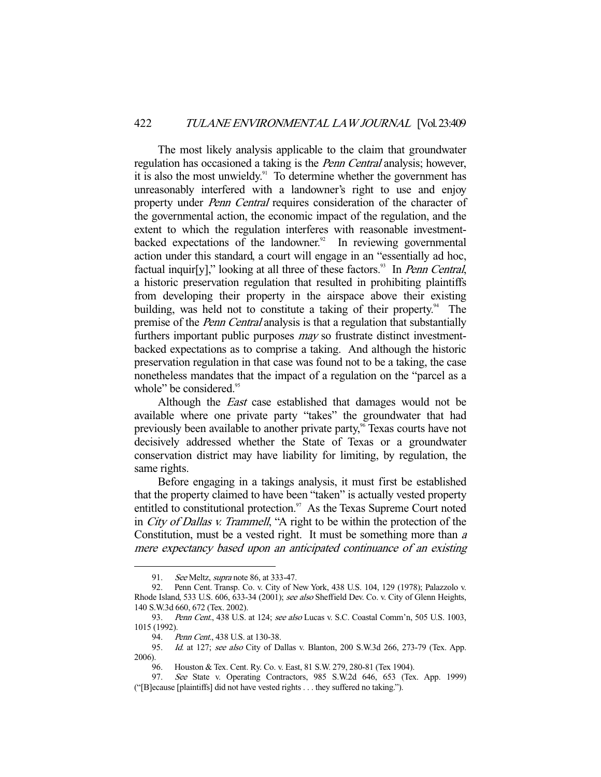The most likely analysis applicable to the claim that groundwater regulation has occasioned a taking is the *Penn Central* analysis; however, it is also the most unwieldy.<sup>91</sup> To determine whether the government has unreasonably interfered with a landowner's right to use and enjoy property under *Penn Central* requires consideration of the character of the governmental action, the economic impact of the regulation, and the extent to which the regulation interferes with reasonable investmentbacked expectations of the landowner. $92$  In reviewing governmental action under this standard, a court will engage in an "essentially ad hoc, factual inquir[y]," looking at all three of these factors.<sup>93</sup> In *Penn Central*, a historic preservation regulation that resulted in prohibiting plaintiffs from developing their property in the airspace above their existing building, was held not to constitute a taking of their property.<sup>94</sup> The premise of the *Penn Central* analysis is that a regulation that substantially furthers important public purposes *may* so frustrate distinct investmentbacked expectations as to comprise a taking. And although the historic preservation regulation in that case was found not to be a taking, the case nonetheless mandates that the impact of a regulation on the "parcel as a whole" be considered. $\frac{95}{2}$ 

Although the *East* case established that damages would not be available where one private party "takes" the groundwater that had previously been available to another private party,<sup>96</sup> Texas courts have not decisively addressed whether the State of Texas or a groundwater conservation district may have liability for limiting, by regulation, the same rights.

 Before engaging in a takings analysis, it must first be established that the property claimed to have been "taken" is actually vested property entitled to constitutional protection. $97$  As the Texas Supreme Court noted in City of Dallas v. Trammell, "A right to be within the protection of the Constitution, must be a vested right. It must be something more than <sup>a</sup> mere expectancy based upon an anticipated continuance of an existing

<sup>91.</sup> See Meltz, *supra* note 86, at 333-47.

 <sup>92.</sup> Penn Cent. Transp. Co. v. City of New York, 438 U.S. 104, 129 (1978); Palazzolo v. Rhode Island, 533 U.S. 606, 633-34 (2001); see also Sheffield Dev. Co. v. City of Glenn Heights, 140 S.W.3d 660, 672 (Tex. 2002).

<sup>93.</sup> Penn Cent., 438 U.S. at 124; see also Lucas v. S.C. Coastal Comm'n, 505 U.S. 1003, 1015 (1992).

<sup>94.</sup> Penn Cent., 438 U.S. at 130-38.

<sup>95.</sup> Id. at 127; see also City of Dallas v. Blanton, 200 S.W.3d 266, 273-79 (Tex. App. 2006).

 <sup>96.</sup> Houston & Tex. Cent. Ry. Co. v. East, 81 S.W. 279, 280-81 (Tex 1904).

 <sup>97.</sup> See State v. Operating Contractors, 985 S.W.2d 646, 653 (Tex. App. 1999) ("[B]ecause [plaintiffs] did not have vested rights . . . they suffered no taking.").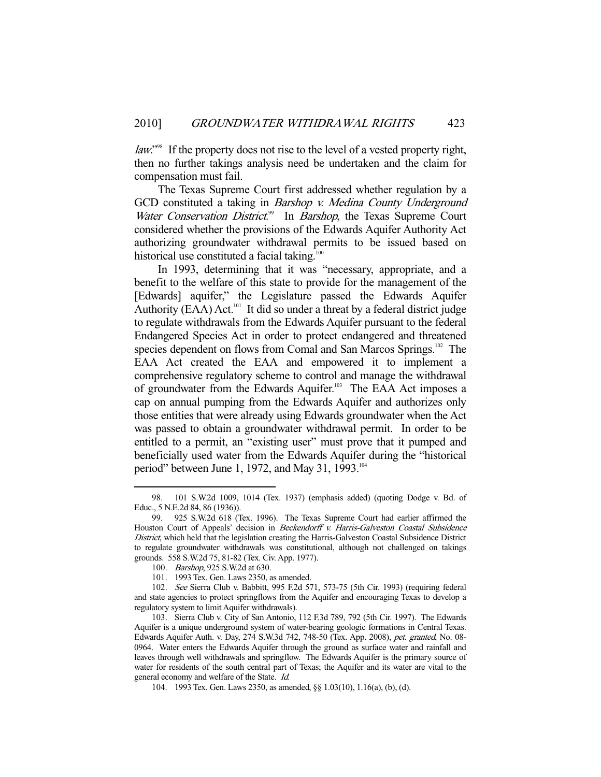law."<sup>98</sup> If the property does not rise to the level of a vested property right, then no further takings analysis need be undertaken and the claim for compensation must fail.

 The Texas Supreme Court first addressed whether regulation by a GCD constituted a taking in Barshop v. Medina County Underground Water Conservation District.<sup>99</sup> In Barshop, the Texas Supreme Court considered whether the provisions of the Edwards Aquifer Authority Act authorizing groundwater withdrawal permits to be issued based on historical use constituted a facial taking.<sup>100</sup>

 In 1993, determining that it was "necessary, appropriate, and a benefit to the welfare of this state to provide for the management of the [Edwards] aquifer," the Legislature passed the Edwards Aquifer Authority (EAA) Act.<sup>101</sup> It did so under a threat by a federal district judge to regulate withdrawals from the Edwards Aquifer pursuant to the federal Endangered Species Act in order to protect endangered and threatened species dependent on flows from Comal and San Marcos Springs.<sup>102</sup> The EAA Act created the EAA and empowered it to implement a comprehensive regulatory scheme to control and manage the withdrawal of groundwater from the Edwards Aquifer.<sup>103</sup> The EAA Act imposes a cap on annual pumping from the Edwards Aquifer and authorizes only those entities that were already using Edwards groundwater when the Act was passed to obtain a groundwater withdrawal permit. In order to be entitled to a permit, an "existing user" must prove that it pumped and beneficially used water from the Edwards Aquifer during the "historical period" between June 1, 1972, and May 31, 1993.<sup>104</sup>

 <sup>98. 101</sup> S.W.2d 1009, 1014 (Tex. 1937) (emphasis added) (quoting Dodge v. Bd. of Educ., 5 N.E.2d 84, 86 (1936)).

 <sup>99. 925</sup> S.W.2d 618 (Tex. 1996). The Texas Supreme Court had earlier affirmed the Houston Court of Appeals' decision in Beckendorff v. Harris-Galveston Coastal Subsidence District, which held that the legislation creating the Harris-Galveston Coastal Subsidence District to regulate groundwater withdrawals was constitutional, although not challenged on takings grounds. 558 S.W.2d 75, 81-82 (Tex. Civ. App. 1977).

 <sup>100.</sup> Barshop, 925 S.W.2d at 630.

 <sup>101. 1993</sup> Tex. Gen. Laws 2350, as amended.

 <sup>102.</sup> See Sierra Club v. Babbitt, 995 F.2d 571, 573-75 (5th Cir. 1993) (requiring federal and state agencies to protect springflows from the Aquifer and encouraging Texas to develop a regulatory system to limit Aquifer withdrawals).

 <sup>103.</sup> Sierra Club v. City of San Antonio, 112 F.3d 789, 792 (5th Cir. 1997). The Edwards Aquifer is a unique underground system of water-bearing geologic formations in Central Texas. Edwards Aquifer Auth. v. Day, 274 S.W.3d 742, 748-50 (Tex. App. 2008), pet. granted, No. 08- 0964. Water enters the Edwards Aquifer through the ground as surface water and rainfall and leaves through well withdrawals and springflow. The Edwards Aquifer is the primary source of water for residents of the south central part of Texas; the Aquifer and its water are vital to the general economy and welfare of the State. Id.

 <sup>104. 1993</sup> Tex. Gen. Laws 2350, as amended, §§ 1.03(10), 1.16(a), (b), (d).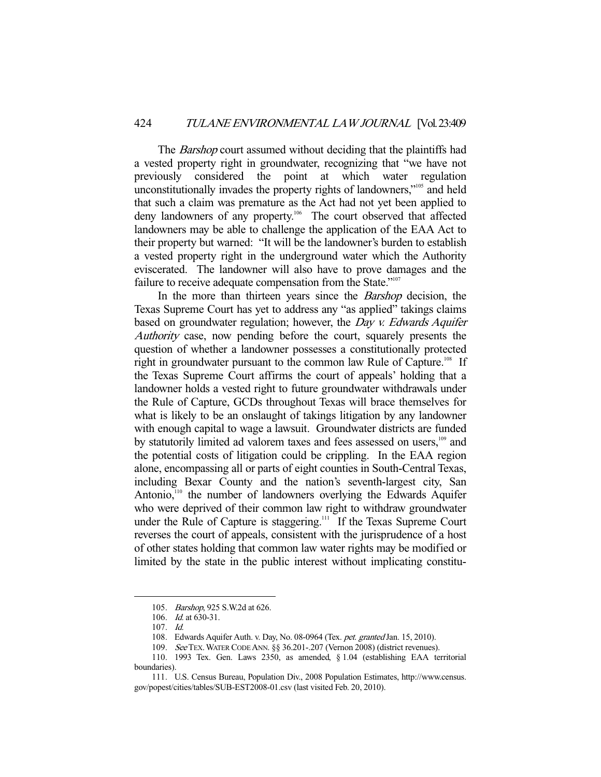The *Barshop* court assumed without deciding that the plaintiffs had a vested property right in groundwater, recognizing that "we have not previously considered the point at which water regulation unconstitutionally invades the property rights of landowners,<sup>"105</sup> and held that such a claim was premature as the Act had not yet been applied to deny landowners of any property.<sup>106</sup> The court observed that affected landowners may be able to challenge the application of the EAA Act to their property but warned: "It will be the landowner's burden to establish a vested property right in the underground water which the Authority eviscerated. The landowner will also have to prove damages and the failure to receive adequate compensation from the State."<sup>107</sup>

In the more than thirteen years since the *Barshop* decision, the Texas Supreme Court has yet to address any "as applied" takings claims based on groundwater regulation; however, the *Day v. Edwards Aquifer* Authority case, now pending before the court, squarely presents the question of whether a landowner possesses a constitutionally protected right in groundwater pursuant to the common law Rule of Capture.<sup>108</sup> If the Texas Supreme Court affirms the court of appeals' holding that a landowner holds a vested right to future groundwater withdrawals under the Rule of Capture, GCDs throughout Texas will brace themselves for what is likely to be an onslaught of takings litigation by any landowner with enough capital to wage a lawsuit. Groundwater districts are funded by statutorily limited ad valorem taxes and fees assessed on users,<sup>109</sup> and the potential costs of litigation could be crippling. In the EAA region alone, encompassing all or parts of eight counties in South-Central Texas, including Bexar County and the nation's seventh-largest city, San Antonio,<sup>110</sup> the number of landowners overlying the Edwards Aquifer who were deprived of their common law right to withdraw groundwater under the Rule of Capture is staggering.<sup>111</sup> If the Texas Supreme Court reverses the court of appeals, consistent with the jurisprudence of a host of other states holding that common law water rights may be modified or limited by the state in the public interest without implicating constitu-

 <sup>105.</sup> Barshop, 925 S.W.2d at 626.

 <sup>106.</sup> Id. at 630-31.

 <sup>107.</sup> Id.

<sup>108.</sup> Edwards Aquifer Auth. v. Day, No. 08-0964 (Tex. pet. granted Jan. 15, 2010).

 <sup>109.</sup> See TEX.WATER CODE ANN. §§ 36.201-.207 (Vernon 2008) (district revenues).

 <sup>110. 1993</sup> Tex. Gen. Laws 2350, as amended, § 1.04 (establishing EAA territorial boundaries).

 <sup>111.</sup> U.S. Census Bureau, Population Div., 2008 Population Estimates, http://www.census. gov/popest/cities/tables/SUB-EST2008-01.csv (last visited Feb. 20, 2010).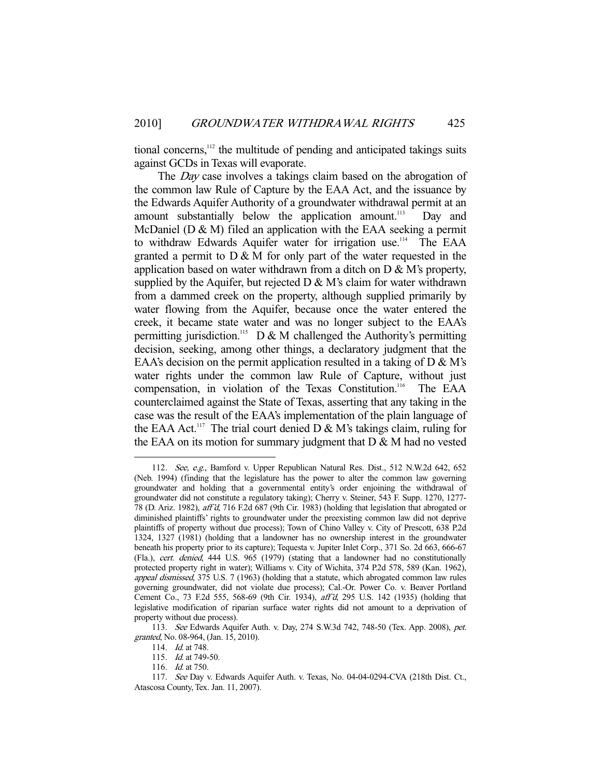tional concerns,<sup>112</sup> the multitude of pending and anticipated takings suits against GCDs in Texas will evaporate.

The *Day* case involves a takings claim based on the abrogation of the common law Rule of Capture by the EAA Act, and the issuance by the Edwards Aquifer Authority of a groundwater withdrawal permit at an amount substantially below the application amount.<sup>113</sup> Day and McDaniel ( $D \& M$ ) filed an application with the EAA seeking a permit to withdraw Edwards Aquifer water for irrigation use.<sup>114</sup> The EAA granted a permit to  $D \& M$  for only part of the water requested in the application based on water withdrawn from a ditch on  $D \& M$ 's property, supplied by the Aquifer, but rejected  $D \& M$ 's claim for water withdrawn from a dammed creek on the property, although supplied primarily by water flowing from the Aquifer, because once the water entered the creek, it became state water and was no longer subject to the EAA's permitting jurisdiction.<sup>115</sup> D & M challenged the Authority's permitting decision, seeking, among other things, a declaratory judgment that the EAA's decision on the permit application resulted in a taking of  $D \& M$ 's water rights under the common law Rule of Capture, without just compensation, in violation of the Texas Constitution.<sup>116</sup> The EAA counterclaimed against the State of Texas, asserting that any taking in the case was the result of the EAA's implementation of the plain language of the EAA Act.<sup>117</sup> The trial court denied D  $\&$  M's takings claim, ruling for the EAA on its motion for summary judgment that  $D \& M$  had no vested

<sup>112.</sup> See, e.g., Bamford v. Upper Republican Natural Res. Dist., 512 N.W.2d 642, 652 (Neb. 1994) (finding that the legislature has the power to alter the common law governing groundwater and holding that a governmental entity's order enjoining the withdrawal of groundwater did not constitute a regulatory taking); Cherry v. Steiner, 543 F. Supp. 1270, 1277- 78 (D. Ariz. 1982), aff'd, 716 F.2d 687 (9th Cir. 1983) (holding that legislation that abrogated or diminished plaintiffs' rights to groundwater under the preexisting common law did not deprive plaintiffs of property without due process); Town of Chino Valley v. City of Prescott, 638 P.2d 1324, 1327 (1981) (holding that a landowner has no ownership interest in the groundwater beneath his property prior to its capture); Tequesta v. Jupiter Inlet Corp., 371 So. 2d 663, 666-67 (Fla.), cert. denied, 444 U.S. 965 (1979) (stating that a landowner had no constitutionally protected property right in water); Williams v. City of Wichita, 374 P.2d 578, 589 (Kan. 1962), appeal dismissed, 375 U.S. 7 (1963) (holding that a statute, which abrogated common law rules governing groundwater, did not violate due process); Cal.-Or. Power Co. v. Beaver Portland Cement Co., 73 F.2d 555, 568-69 (9th Cir. 1934), aff'd, 295 U.S. 142 (1935) (holding that legislative modification of riparian surface water rights did not amount to a deprivation of property without due process).

 <sup>113.</sup> See Edwards Aquifer Auth. v. Day, 274 S.W.3d 742, 748-50 (Tex. App. 2008), pet. granted, No. 08-964, (Jan. 15, 2010).

 <sup>114.</sup> Id. at 748.

 <sup>115.</sup> Id. at 749-50.

<sup>116.</sup> *Id.* at 750.

 <sup>117.</sup> See Day v. Edwards Aquifer Auth. v. Texas, No. 04-04-0294-CVA (218th Dist. Ct., Atascosa County, Tex. Jan. 11, 2007).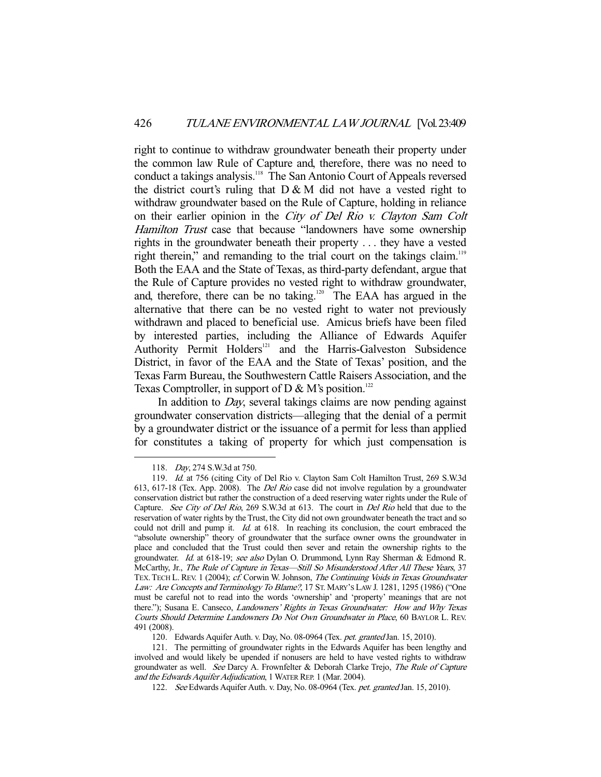right to continue to withdraw groundwater beneath their property under the common law Rule of Capture and, therefore, there was no need to conduct a takings analysis.118 The San Antonio Court of Appeals reversed the district court's ruling that  $D \& M$  did not have a vested right to withdraw groundwater based on the Rule of Capture, holding in reliance on their earlier opinion in the City of Del Rio v. Clayton Sam Colt Hamilton Trust case that because "landowners have some ownership rights in the groundwater beneath their property . . . they have a vested right therein," and remanding to the trial court on the takings claim.<sup>119</sup> Both the EAA and the State of Texas, as third-party defendant, argue that the Rule of Capture provides no vested right to withdraw groundwater, and, therefore, there can be no taking.120 The EAA has argued in the alternative that there can be no vested right to water not previously withdrawn and placed to beneficial use. Amicus briefs have been filed by interested parties, including the Alliance of Edwards Aquifer Authority Permit Holders<sup>121</sup> and the Harris-Galveston Subsidence District, in favor of the EAA and the State of Texas' position, and the Texas Farm Bureau, the Southwestern Cattle Raisers Association, and the Texas Comptroller, in support of D & M's position.<sup>122</sup>

In addition to *Day*, several takings claims are now pending against groundwater conservation districts—alleging that the denial of a permit by a groundwater district or the issuance of a permit for less than applied for constitutes a taking of property for which just compensation is

 <sup>118.</sup> Day, 274 S.W.3d at 750.

 <sup>119.</sup> Id. at 756 (citing City of Del Rio v. Clayton Sam Colt Hamilton Trust, 269 S.W.3d 613, 617-18 (Tex. App. 2008). The Del Rio case did not involve regulation by a groundwater conservation district but rather the construction of a deed reserving water rights under the Rule of Capture. See City of Del Rio, 269 S.W.3d at 613. The court in Del Rio held that due to the reservation of water rights by the Trust, the City did not own groundwater beneath the tract and so could not drill and pump it. Id. at 618. In reaching its conclusion, the court embraced the "absolute ownership" theory of groundwater that the surface owner owns the groundwater in place and concluded that the Trust could then sever and retain the ownership rights to the groundwater. Id. at 618-19; see also Dylan O. Drummond, Lynn Ray Sherman & Edmond R. McCarthy, Jr., The Rule of Capture in Texas—Still So Misunderstood After All These Years, 37 TEX. TECH L. REV. 1 (2004); cf. Corwin W. Johnson, The Continuing Voids in Texas Groundwater Law: Are Concepts and Terminology To Blame?, 17 ST. MARY'S LAW J. 1281, 1295 (1986) ("One must be careful not to read into the words 'ownership' and 'property' meanings that are not there."); Susana E. Canseco, Landowners' Rights in Texas Groundwater: How and Why Texas Courts Should Determine Landowners Do Not Own Groundwater in Place, 60 BAYLOR L. REV. 491 (2008).

<sup>120.</sup> Edwards Aquifer Auth. v. Day, No. 08-0964 (Tex. pet. granted Jan. 15, 2010).

 <sup>121.</sup> The permitting of groundwater rights in the Edwards Aquifer has been lengthy and involved and would likely be upended if nonusers are held to have vested rights to withdraw groundwater as well. See Darcy A. Frownfelter & Deborah Clarke Trejo, The Rule of Capture and the Edwards Aquifer Adjudication, 1 WATER REP. 1 (Mar. 2004).

<sup>122.</sup> See Edwards Aquifer Auth. v. Day, No. 08-0964 (Tex. pet. granted Jan. 15, 2010).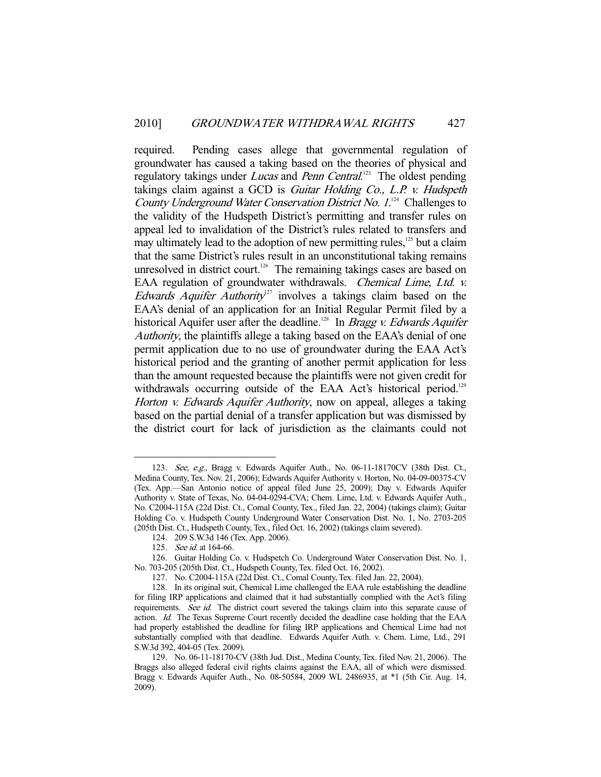required. Pending cases allege that governmental regulation of groundwater has caused a taking based on the theories of physical and regulatory takings under *Lucas* and *Penn Central*.<sup>123</sup> The oldest pending takings claim against a GCD is Guitar Holding Co., L.P. v. Hudspeth County Underground Water Conservation District No. 1.<sup>124</sup> Challenges to the validity of the Hudspeth District's permitting and transfer rules on appeal led to invalidation of the District's rules related to transfers and may ultimately lead to the adoption of new permitting rules, $125$  but a claim that the same District's rules result in an unconstitutional taking remains unresolved in district court.<sup>126</sup> The remaining takings cases are based on EAA regulation of groundwater withdrawals. *Chemical Lime, Ltd. v.* Edwards Aquifer Authority<sup>27</sup> involves a takings claim based on the EAA's denial of an application for an Initial Regular Permit filed by a historical Aquifer user after the deadline.<sup>128</sup> In *Bragg v. Edwards Aquifer* Authority, the plaintiffs allege a taking based on the EAA's denial of one permit application due to no use of groundwater during the EAA Act's historical period and the granting of another permit application for less than the amount requested because the plaintiffs were not given credit for withdrawals occurring outside of the EAA Act's historical period.<sup>129</sup> Horton *v. Edwards Aquifer Authority*, now on appeal, alleges a taking based on the partial denial of a transfer application but was dismissed by the district court for lack of jurisdiction as the claimants could not

<sup>123.</sup> See, e.g., Bragg v. Edwards Aquifer Auth., No. 06-11-18170CV (38th Dist. Ct., Medina County, Tex. Nov. 21, 2006); Edwards Aquifer Authority v. Horton, No. 04-09-00375-CV (Tex. App.—San Antonio notice of appeal filed June 25, 2009); Day v. Edwards Aquifer Authority v. State of Texas, No. 04-04-0294-CVA; Chem. Lime, Ltd. v. Edwards Aquifer Auth., No. C2004-115A (22d Dist. Ct., Comal County, Tex., filed Jan. 22, 2004) (takings claim); Guitar Holding Co. v. Hudspeth County Underground Water Conservation Dist. No. 1, No. 2703-205 (205th Dist. Ct., Hudspeth County, Tex., filed Oct. 16, 2002) (takings claim severed).

 <sup>124. 209</sup> S.W.3d 146 (Tex. App. 2006).

 <sup>125.</sup> See id. at 164-66.

 <sup>126.</sup> Guitar Holding Co. v. Hudspetch Co. Underground Water Conservation Dist. No. 1, No. 703-205 (205th Dist. Ct., Hudspeth County, Tex. filed Oct. 16, 2002).

 <sup>127.</sup> No. C2004-115A (22d Dist. Ct., Comal County, Tex. filed Jan. 22, 2004).

 <sup>128.</sup> In its original suit, Chemical Lime challenged the EAA rule establishing the deadline for filing IRP applications and claimed that it had substantially complied with the Act's filing requirements. See id. The district court severed the takings claim into this separate cause of action. Id. The Texas Supreme Court recently decided the deadline case holding that the EAA had properly established the deadline for filing IRP applications and Chemical Lime had not substantially complied with that deadline. Edwards Aquifer Auth. v. Chem. Lime, Ltd., 291 S.W.3d 392, 404-05 (Tex. 2009).

 <sup>129.</sup> No. 06-11-18170-CV (38th Jud. Dist., Medina County, Tex. filed Nov. 21, 2006). The Braggs also alleged federal civil rights claims against the EAA, all of which were dismissed. Bragg v. Edwards Aquifer Auth., No. 08-50584, 2009 WL 2486935, at \*1 (5th Cir. Aug. 14, 2009).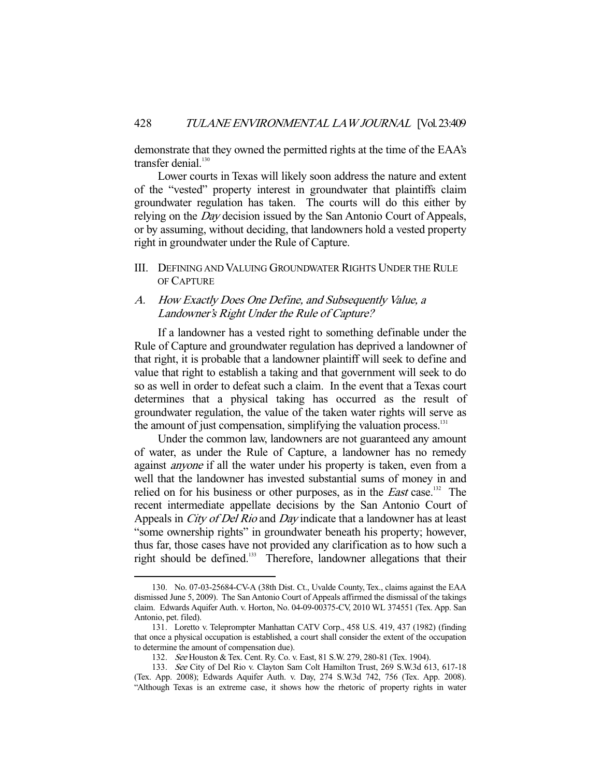demonstrate that they owned the permitted rights at the time of the EAA's transfer denial.<sup>130</sup>

 Lower courts in Texas will likely soon address the nature and extent of the "vested" property interest in groundwater that plaintiffs claim groundwater regulation has taken. The courts will do this either by relying on the *Day* decision issued by the San Antonio Court of Appeals, or by assuming, without deciding, that landowners hold a vested property right in groundwater under the Rule of Capture.

III. DEFINING AND VALUING GROUNDWATER RIGHTS UNDER THE RULE OF CAPTURE

## A. How Exactly Does One Define, and Subsequently Value, a Landowner's Right Under the Rule of Capture?

 If a landowner has a vested right to something definable under the Rule of Capture and groundwater regulation has deprived a landowner of that right, it is probable that a landowner plaintiff will seek to define and value that right to establish a taking and that government will seek to do so as well in order to defeat such a claim. In the event that a Texas court determines that a physical taking has occurred as the result of groundwater regulation, the value of the taken water rights will serve as the amount of just compensation, simplifying the valuation process.<sup>131</sup>

 Under the common law, landowners are not guaranteed any amount of water, as under the Rule of Capture, a landowner has no remedy against anyone if all the water under his property is taken, even from a well that the landowner has invested substantial sums of money in and relied on for his business or other purposes, as in the *East* case.<sup>132</sup> The recent intermediate appellate decisions by the San Antonio Court of Appeals in *City of Del Rio* and *Day* indicate that a landowner has at least "some ownership rights" in groundwater beneath his property; however, thus far, those cases have not provided any clarification as to how such a right should be defined.<sup>133</sup> Therefore, landowner allegations that their

 <sup>130.</sup> No. 07-03-25684-CV-A (38th Dist. Ct., Uvalde County, Tex., claims against the EAA dismissed June 5, 2009). The San Antonio Court of Appeals affirmed the dismissal of the takings claim. Edwards Aquifer Auth. v. Horton, No. 04-09-00375-CV, 2010 WL 374551 (Tex. App. San Antonio, pet. filed).

 <sup>131.</sup> Loretto v. Teleprompter Manhattan CATV Corp., 458 U.S. 419, 437 (1982) (finding that once a physical occupation is established, a court shall consider the extent of the occupation to determine the amount of compensation due).

 <sup>132.</sup> See Houston & Tex. Cent. Ry. Co. v. East, 81 S.W. 279, 280-81 (Tex. 1904).

 <sup>133.</sup> See City of Del Rio v. Clayton Sam Colt Hamilton Trust, 269 S.W.3d 613, 617-18 (Tex. App. 2008); Edwards Aquifer Auth. v. Day, 274 S.W.3d 742, 756 (Tex. App. 2008). "Although Texas is an extreme case, it shows how the rhetoric of property rights in water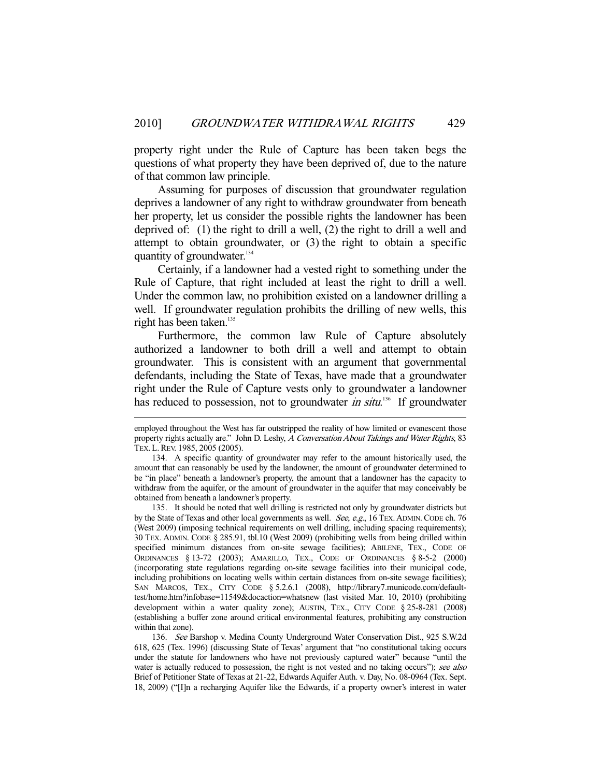property right under the Rule of Capture has been taken begs the questions of what property they have been deprived of, due to the nature of that common law principle.

 Assuming for purposes of discussion that groundwater regulation deprives a landowner of any right to withdraw groundwater from beneath her property, let us consider the possible rights the landowner has been deprived of: (1) the right to drill a well, (2) the right to drill a well and attempt to obtain groundwater, or (3) the right to obtain a specific quantity of groundwater.<sup>134</sup>

 Certainly, if a landowner had a vested right to something under the Rule of Capture, that right included at least the right to drill a well. Under the common law, no prohibition existed on a landowner drilling a well. If groundwater regulation prohibits the drilling of new wells, this right has been taken. $135$ 

 Furthermore, the common law Rule of Capture absolutely authorized a landowner to both drill a well and attempt to obtain groundwater. This is consistent with an argument that governmental defendants, including the State of Texas, have made that a groundwater right under the Rule of Capture vests only to groundwater a landowner has reduced to possession, not to groundwater *in situ*.<sup>136</sup> If groundwater

-

 136. See Barshop v. Medina County Underground Water Conservation Dist., 925 S.W.2d 618, 625 (Tex. 1996) (discussing State of Texas' argument that "no constitutional taking occurs under the statute for landowners who have not previously captured water" because "until the water is actually reduced to possession, the right is not vested and no taking occurs"); see also Brief of Petitioner State of Texas at 21-22, Edwards Aquifer Auth. v. Day, No. 08-0964 (Tex. Sept. 18, 2009) ("[I]n a recharging Aquifer like the Edwards, if a property owner's interest in water

employed throughout the West has far outstripped the reality of how limited or evanescent those property rights actually are." John D. Leshy, A Conversation About Takings and Water Rights, 83 TEX.L.REV. 1985, 2005 (2005).

 <sup>134.</sup> A specific quantity of groundwater may refer to the amount historically used, the amount that can reasonably be used by the landowner, the amount of groundwater determined to be "in place" beneath a landowner's property, the amount that a landowner has the capacity to withdraw from the aquifer, or the amount of groundwater in the aquifer that may conceivably be obtained from beneath a landowner's property.

 <sup>135.</sup> It should be noted that well drilling is restricted not only by groundwater districts but by the State of Texas and other local governments as well. See, e.g., 16 TEX. ADMIN. CODE ch. 76 (West 2009) (imposing technical requirements on well drilling, including spacing requirements); 30 TEX. ADMIN. CODE § 285.91, tbl.10 (West 2009) (prohibiting wells from being drilled within specified minimum distances from on-site sewage facilities); ABILENE, TEX., CODE OF ORDINANCES § 13-72 (2003); AMARILLO, TEX., CODE OF ORDINANCES § 8-5-2 (2000) (incorporating state regulations regarding on-site sewage facilities into their municipal code, including prohibitions on locating wells within certain distances from on-site sewage facilities); SAN MARCOS, TEX., CITY CODE § 5.2.6.1 (2008), http://library7.municode.com/defaulttest/home.htm?infobase=11549&docaction=whatsnew (last visited Mar. 10, 2010) (prohibiting development within a water quality zone); AUSTIN, TEX., CITY CODE § 25-8-281 (2008) (establishing a buffer zone around critical environmental features, prohibiting any construction within that zone).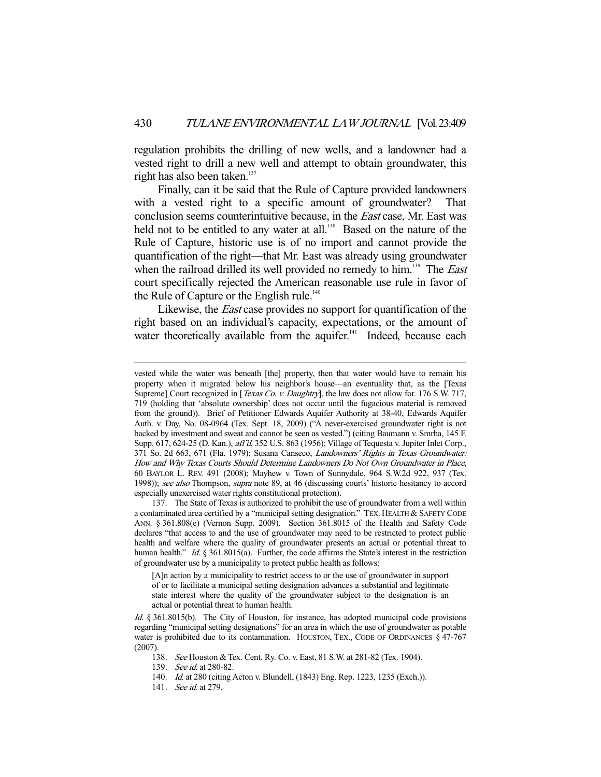regulation prohibits the drilling of new wells, and a landowner had a vested right to drill a new well and attempt to obtain groundwater, this right has also been taken.<sup>137</sup>

 Finally, can it be said that the Rule of Capture provided landowners with a vested right to a specific amount of groundwater? That conclusion seems counterintuitive because, in the East case, Mr. East was held not to be entitled to any water at all.<sup>138</sup> Based on the nature of the Rule of Capture, historic use is of no import and cannot provide the quantification of the right—that Mr. East was already using groundwater when the railroad drilled its well provided no remedy to him.<sup>139</sup> The *East* court specifically rejected the American reasonable use rule in favor of the Rule of Capture or the English rule.<sup>140</sup>

Likewise, the *East* case provides no support for quantification of the right based on an individual's capacity, expectations, or the amount of water theoretically available from the aquifer. $141$  Indeed, because each

vested while the water was beneath [the] property, then that water would have to remain his property when it migrated below his neighbor's house—an eventuality that, as the [Texas Supreme] Court recognized in [*Texas Co. v. Daughtry*], the law does not allow for. 176 S.W. 717, 719 (holding that 'absolute ownership' does not occur until the fugacious material is removed from the ground)). Brief of Petitioner Edwards Aquifer Authority at 38-40, Edwards Aquifer Auth. v. Day, No. 08-0964 (Tex. Sept. 18, 2009) ("A never-exercised groundwater right is not backed by investment and sweat and cannot be seen as vested.") (citing Baumann v. Smrha, 145 F. Supp. 617, 624-25 (D. Kan.), aff'd, 352 U.S. 863 (1956); Village of Tequesta v. Jupiter Inlet Corp., 371 So. 2d 663, 671 (Fla. 1979); Susana Canseco, Landowners' Rights in Texas Groundwater: How and Why Texas Courts Should Determine Landowners Do Not Own Groundwater in Place, 60 BAYLOR L. REV. 491 (2008); Mayhew v. Town of Sunnydale, 964 S.W.2d 922, 937 (Tex. 1998)); see also Thompson, supra note 89, at 46 (discussing courts' historic hesitancy to accord especially unexercised water rights constitutional protection).

 <sup>137.</sup> The State of Texas is authorized to prohibit the use of groundwater from a well within a contaminated area certified by a "municipal setting designation." TEX. HEALTH & SAFETY CODE ANN. § 361.808(e) (Vernon Supp. 2009). Section 361.8015 of the Health and Safety Code declares "that access to and the use of groundwater may need to be restricted to protect public health and welfare where the quality of groundwater presents an actual or potential threat to human health." Id. § 361.8015(a). Further, the code affirms the State's interest in the restriction of groundwater use by a municipality to protect public health as follows:

<sup>[</sup>A]n action by a municipality to restrict access to or the use of groundwater in support of or to facilitate a municipal setting designation advances a substantial and legitimate state interest where the quality of the groundwater subject to the designation is an actual or potential threat to human health.

Id. § 361.8015(b). The City of Houston, for instance, has adopted municipal code provisions regarding "municipal setting designations" for an area in which the use of groundwater as potable water is prohibited due to its contamination. HOUSTON, TEX., CODE OF ORDINANCES § 47-767 (2007).

 <sup>138.</sup> See Houston & Tex. Cent. Ry. Co. v. East, 81 S.W. at 281-82 (Tex. 1904).

<sup>139.</sup> See id. at 280-82.

<sup>140.</sup> Id. at 280 (citing Acton v. Blundell, (1843) Eng. Rep. 1223, 1235 (Exch.)).

<sup>141.</sup> *See id.* at 279.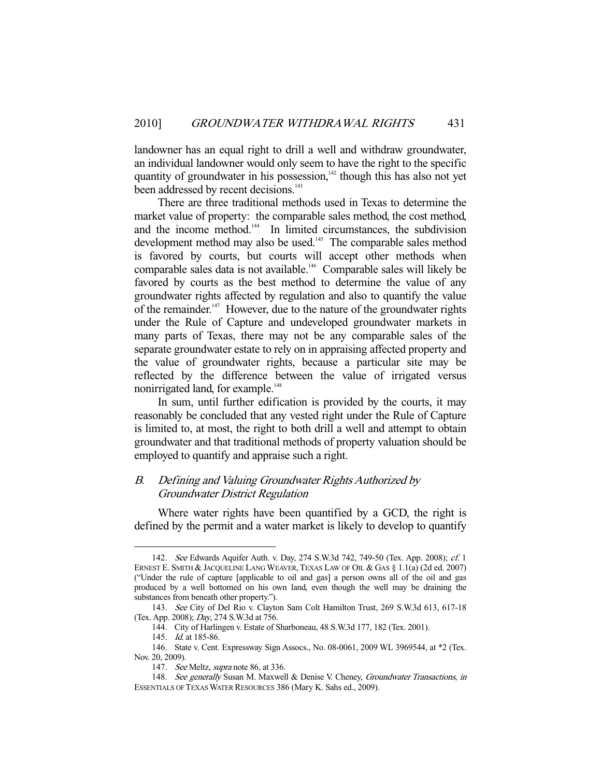landowner has an equal right to drill a well and withdraw groundwater, an individual landowner would only seem to have the right to the specific quantity of groundwater in his possession, $142$  though this has also not yet been addressed by recent decisions.<sup>143</sup>

 There are three traditional methods used in Texas to determine the market value of property: the comparable sales method, the cost method, and the income method.<sup>144</sup> In limited circumstances, the subdivision development method may also be used.<sup>145</sup> The comparable sales method is favored by courts, but courts will accept other methods when comparable sales data is not available.<sup>146</sup> Comparable sales will likely be favored by courts as the best method to determine the value of any groundwater rights affected by regulation and also to quantify the value of the remainder.<sup>147</sup> However, due to the nature of the groundwater rights under the Rule of Capture and undeveloped groundwater markets in many parts of Texas, there may not be any comparable sales of the separate groundwater estate to rely on in appraising affected property and the value of groundwater rights, because a particular site may be reflected by the difference between the value of irrigated versus nonirrigated land, for example.<sup>148</sup>

 In sum, until further edification is provided by the courts, it may reasonably be concluded that any vested right under the Rule of Capture is limited to, at most, the right to both drill a well and attempt to obtain groundwater and that traditional methods of property valuation should be employed to quantify and appraise such a right.

# B. Defining and Valuing Groundwater Rights Authorized by Groundwater District Regulation

 Where water rights have been quantified by a GCD, the right is defined by the permit and a water market is likely to develop to quantify

 <sup>142.</sup> See Edwards Aquifer Auth. v. Day, 274 S.W.3d 742, 749-50 (Tex. App. 2008); cf. 1 ERNEST E. SMITH & JACQUELINE LANG WEAVER, TEXAS LAW OF OIL & GAS § 1.1(a) (2d ed. 2007) ("Under the rule of capture [applicable to oil and gas] a person owns all of the oil and gas produced by a well bottomed on his own land, even though the well may be draining the substances from beneath other property.").

 <sup>143.</sup> See City of Del Rio v. Clayton Sam Colt Hamilton Trust, 269 S.W.3d 613, 617-18 (Tex. App. 2008); Day, 274 S.W.3d at 756.

 <sup>144.</sup> City of Harlingen v. Estate of Sharboneau, 48 S.W.3d 177, 182 (Tex. 2001).

 <sup>145.</sup> Id. at 185-86.

 <sup>146.</sup> State v. Cent. Expressway Sign Assocs., No. 08-0061, 2009 WL 3969544, at \*2 (Tex. Nov. 20, 2009).

<sup>147.</sup> See Meltz, supra note 86, at 336.

<sup>148.</sup> See generally Susan M. Maxwell & Denise V. Cheney, Groundwater Transactions, in ESSENTIALS OF TEXAS WATER RESOURCES 386 (Mary K. Sahs ed., 2009).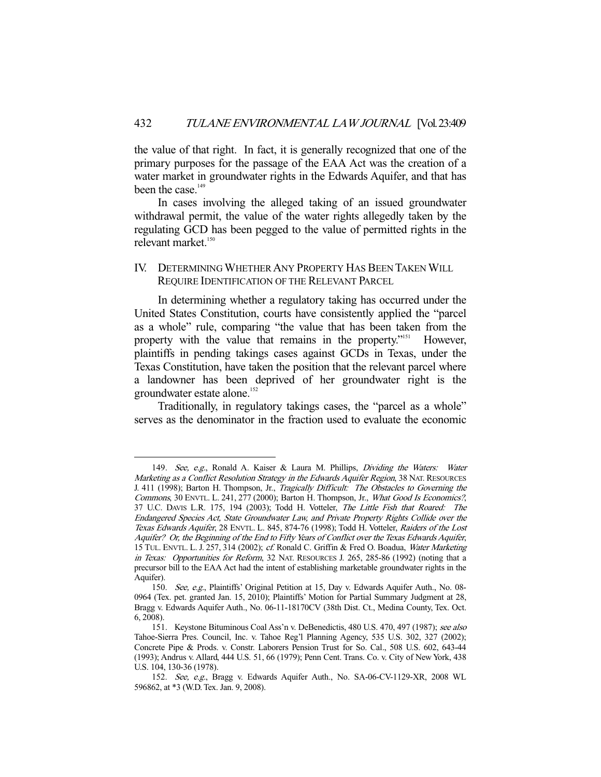the value of that right. In fact, it is generally recognized that one of the primary purposes for the passage of the EAA Act was the creation of a water market in groundwater rights in the Edwards Aquifer, and that has been the case.<sup>149</sup>

 In cases involving the alleged taking of an issued groundwater withdrawal permit, the value of the water rights allegedly taken by the regulating GCD has been pegged to the value of permitted rights in the relevant market.<sup>150</sup>

# IV. DETERMINING WHETHER ANY PROPERTY HAS BEEN TAKEN WILL REQUIRE IDENTIFICATION OF THE RELEVANT PARCEL

 In determining whether a regulatory taking has occurred under the United States Constitution, courts have consistently applied the "parcel as a whole" rule, comparing "the value that has been taken from the property with the value that remains in the property."151 However, plaintiffs in pending takings cases against GCDs in Texas, under the Texas Constitution, have taken the position that the relevant parcel where a landowner has been deprived of her groundwater right is the groundwater estate alone.<sup>152</sup>

 Traditionally, in regulatory takings cases, the "parcel as a whole" serves as the denominator in the fraction used to evaluate the economic

<sup>149.</sup> See, e.g., Ronald A. Kaiser & Laura M. Phillips, Dividing the Waters: Water Marketing as a Conflict Resolution Strategy in the Edwards Aquifer Region, 38 NAT. RESOURCES J. 411 (1998); Barton H. Thompson, Jr., Tragically Difficult: The Obstacles to Governing the Commons, 30 ENVTL. L. 241, 277 (2000); Barton H. Thompson, Jr., What Good Is Economics?, 37 U.C. DAVIS L.R. 175, 194 (2003); Todd H. Votteler, The Little Fish that Roared: The Endangered Species Act, State Groundwater Law, and Private Property Rights Collide over the Texas Edwards Aquifer, 28 ENVTL. L. 845, 874-76 (1998); Todd H. Votteler, Raiders of the Lost Aquifer? Or, the Beginning of the End to Fifty Years of Conflict over the Texas Edwards Aquifer, 15 TUL. ENVTL. L. J. 257, 314 (2002); cf. Ronald C. Griffin & Fred O. Boadua, Water Marketing in Texas: Opportunities for Reform, 32 NAT. RESOURCES J. 265, 285-86 (1992) (noting that a precursor bill to the EAA Act had the intent of establishing marketable groundwater rights in the Aquifer).

 <sup>150.</sup> See, e.g., Plaintiffs' Original Petition at 15, Day v. Edwards Aquifer Auth., No. 08- 0964 (Tex. pet. granted Jan. 15, 2010); Plaintiffs' Motion for Partial Summary Judgment at 28, Bragg v. Edwards Aquifer Auth., No. 06-11-18170CV (38th Dist. Ct., Medina County, Tex. Oct. 6, 2008).

 <sup>151.</sup> Keystone Bituminous Coal Ass'n v. DeBenedictis, 480 U.S. 470, 497 (1987); see also Tahoe-Sierra Pres. Council, Inc. v. Tahoe Reg'l Planning Agency, 535 U.S. 302, 327 (2002); Concrete Pipe & Prods. v. Constr. Laborers Pension Trust for So. Cal., 508 U.S. 602, 643-44 (1993); Andrus v. Allard, 444 U.S. 51, 66 (1979); Penn Cent. Trans. Co. v. City of New York, 438 U.S. 104, 130-36 (1978).

 <sup>152.</sup> See, e.g., Bragg v. Edwards Aquifer Auth., No. SA-06-CV-1129-XR, 2008 WL 596862, at \*3 (W.D. Tex. Jan. 9, 2008).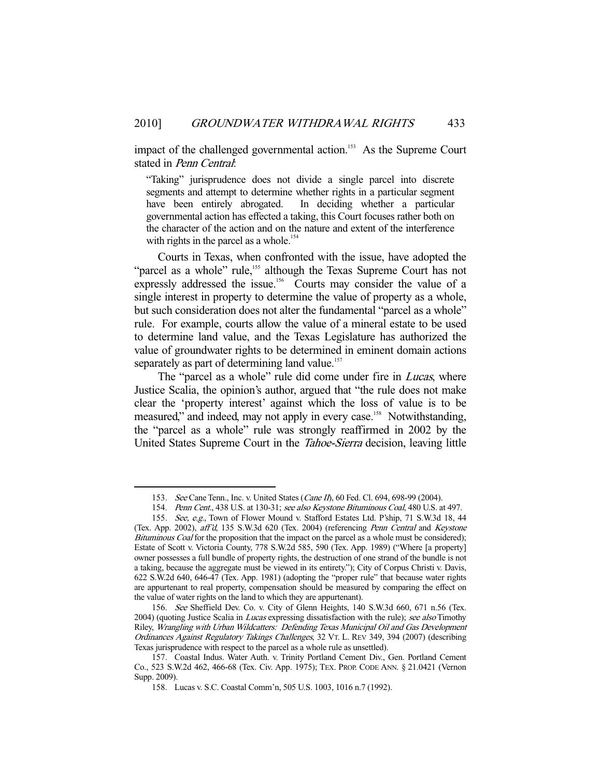impact of the challenged governmental action.<sup>153</sup> As the Supreme Court stated in Penn Central:

"Taking" jurisprudence does not divide a single parcel into discrete segments and attempt to determine whether rights in a particular segment have been entirely abrogated. In deciding whether a particular governmental action has effected a taking, this Court focuses rather both on the character of the action and on the nature and extent of the interference with rights in the parcel as a whole.<sup>154</sup>

 Courts in Texas, when confronted with the issue, have adopted the "parcel as a whole" rule,<sup>155</sup> although the Texas Supreme Court has not expressly addressed the issue.<sup>156</sup> Courts may consider the value of a single interest in property to determine the value of property as a whole, but such consideration does not alter the fundamental "parcel as a whole" rule. For example, courts allow the value of a mineral estate to be used to determine land value, and the Texas Legislature has authorized the value of groundwater rights to be determined in eminent domain actions separately as part of determining land value.<sup>157</sup>

The "parcel as a whole" rule did come under fire in *Lucas*, where Justice Scalia, the opinion's author, argued that "the rule does not make clear the 'property interest' against which the loss of value is to be measured," and indeed, may not apply in every case.<sup>158</sup> Notwithstanding, the "parcel as a whole" rule was strongly reaffirmed in 2002 by the United States Supreme Court in the Tahoe-Sierra decision, leaving little

<sup>153.</sup> See Cane Tenn., Inc. v. United States (Cane II), 60 Fed. Cl. 694, 698-99 (2004).

<sup>154.</sup> Penn Cent., 438 U.S. at 130-31; see also Keystone Bituminous Coal, 480 U.S. at 497.

 <sup>155.</sup> See, e.g., Town of Flower Mound v. Stafford Estates Ltd. P'ship, 71 S.W.3d 18, 44 (Tex. App. 2002), aff'd, 135 S.W.3d 620 (Tex. 2004) (referencing Penn Central and Keystone Bituminous Coal for the proposition that the impact on the parcel as a whole must be considered); Estate of Scott v. Victoria County, 778 S.W.2d 585, 590 (Tex. App. 1989) ("Where [a property] owner possesses a full bundle of property rights, the destruction of one strand of the bundle is not a taking, because the aggregate must be viewed in its entirety."); City of Corpus Christi v. Davis, 622 S.W.2d 640, 646-47 (Tex. App. 1981) (adopting the "proper rule" that because water rights are appurtenant to real property, compensation should be measured by comparing the effect on the value of water rights on the land to which they are appurtenant).

 <sup>156.</sup> See Sheffield Dev. Co. v. City of Glenn Heights, 140 S.W.3d 660, 671 n.56 (Tex. 2004) (quoting Justice Scalia in *Lucas* expressing dissatisfaction with the rule); see also Timothy Riley, Wrangling with Urban Wildcatters: Defending Texas Municipal Oil and Gas Development Ordinances Against Regulatory Takings Challenges, 32 VT. L. REV 349, 394 (2007) (describing Texas jurisprudence with respect to the parcel as a whole rule as unsettled).

 <sup>157.</sup> Coastal Indus. Water Auth. v. Trinity Portland Cement Div., Gen. Portland Cement Co., 523 S.W.2d 462, 466-68 (Tex. Civ. App. 1975); TEX. PROP. CODE ANN. § 21.0421 (Vernon Supp. 2009).

 <sup>158.</sup> Lucas v. S.C. Coastal Comm'n, 505 U.S. 1003, 1016 n.7 (1992).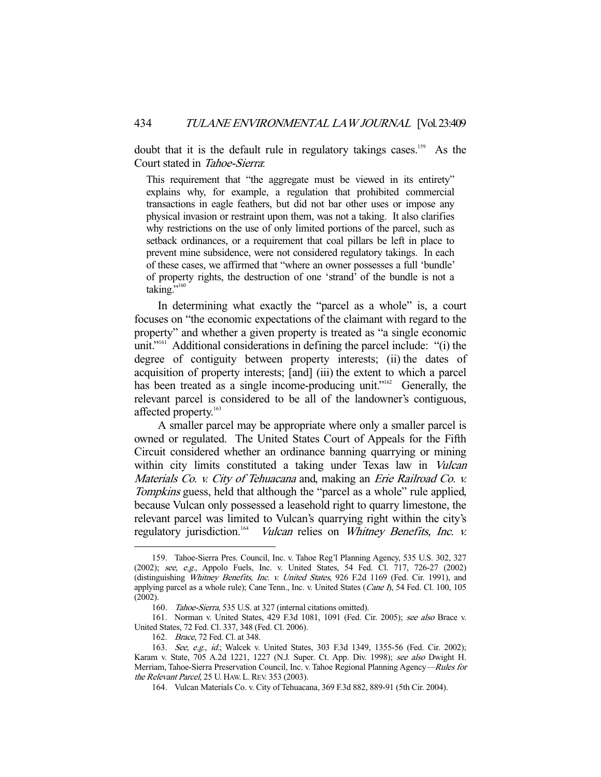doubt that it is the default rule in regulatory takings cases.<sup>159</sup> As the Court stated in Tahoe-Sierra:

This requirement that "the aggregate must be viewed in its entirety" explains why, for example, a regulation that prohibited commercial transactions in eagle feathers, but did not bar other uses or impose any physical invasion or restraint upon them, was not a taking. It also clarifies why restrictions on the use of only limited portions of the parcel, such as setback ordinances, or a requirement that coal pillars be left in place to prevent mine subsidence, were not considered regulatory takings. In each of these cases, we affirmed that "where an owner possesses a full 'bundle' of property rights, the destruction of one 'strand' of the bundle is not a taking." $160$ 

 In determining what exactly the "parcel as a whole" is, a court focuses on "the economic expectations of the claimant with regard to the property" and whether a given property is treated as "a single economic unit."<sup>161</sup> Additional considerations in defining the parcel include: "(i) the degree of contiguity between property interests; (ii) the dates of acquisition of property interests; [and] (iii) the extent to which a parcel has been treated as a single income-producing unit."<sup>162</sup> Generally, the relevant parcel is considered to be all of the landowner's contiguous, affected property.<sup>163</sup>

 A smaller parcel may be appropriate where only a smaller parcel is owned or regulated. The United States Court of Appeals for the Fifth Circuit considered whether an ordinance banning quarrying or mining within city limits constituted a taking under Texas law in Vulcan Materials Co. v. City of Tehuacana and, making an Erie Railroad Co. v. Tompkins guess, held that although the "parcel as a whole" rule applied, because Vulcan only possessed a leasehold right to quarry limestone, the relevant parcel was limited to Vulcan's quarrying right within the city's regulatory jurisdiction.<sup>164</sup> Vulcan relies on Whitney Benefits, Inc. v.

 <sup>159.</sup> Tahoe-Sierra Pres. Council, Inc. v. Tahoe Reg'l Planning Agency, 535 U.S. 302, 327 (2002); see, e.g., Appolo Fuels, Inc. v. United States, 54 Fed. Cl. 717, 726-27 (2002) (distinguishing Whitney Benefits, Inc. v. United States, 926 F.2d 1169 (Fed. Cir. 1991), and applying parcel as a whole rule); Cane Tenn., Inc. v. United States (Cane I), 54 Fed. Cl. 100, 105 (2002).

 <sup>160.</sup> Tahoe-Sierra, 535 U.S. at 327 (internal citations omitted).

 <sup>161.</sup> Norman v. United States, 429 F.3d 1081, 1091 (Fed. Cir. 2005); see also Brace v. United States, 72 Fed. Cl. 337, 348 (Fed. Cl. 2006).

 <sup>162.</sup> Brace, 72 Fed. Cl. at 348.

<sup>163.</sup> See, e.g., id.; Walcek v. United States, 303 F.3d 1349, 1355-56 (Fed. Cir. 2002); Karam v. State, 705 A.2d 1221, 1227 (N.J. Super. Ct. App. Div. 1998); see also Dwight H. Merriam, Tahoe-Sierra Preservation Council, Inc. v. Tahoe Regional Planning Agency—Rules for the Relevant Parcel, 25 U. HAW. L. REV. 353 (2003).

 <sup>164.</sup> Vulcan Materials Co. v. City of Tehuacana, 369 F.3d 882, 889-91 (5th Cir. 2004).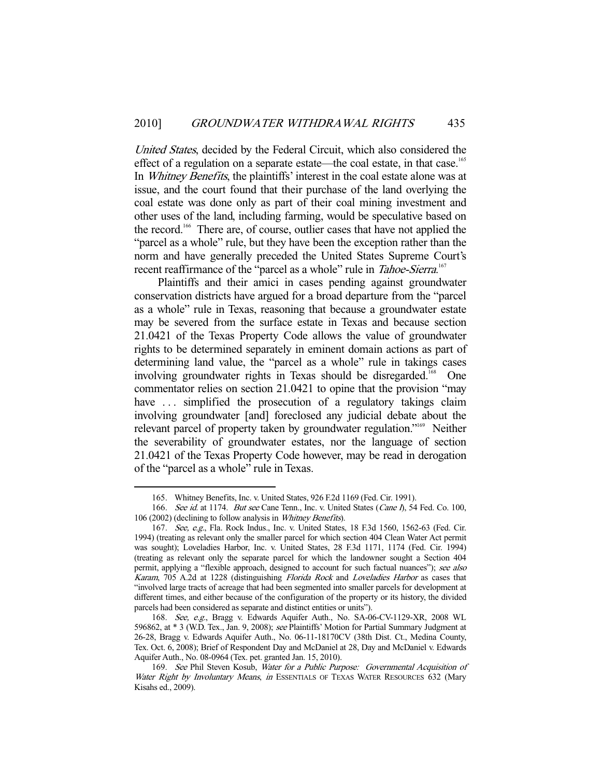United States, decided by the Federal Circuit, which also considered the effect of a regulation on a separate estate—the coal estate, in that case.<sup>165</sup> In *Whitney Benefits*, the plaintiffs' interest in the coal estate alone was at issue, and the court found that their purchase of the land overlying the coal estate was done only as part of their coal mining investment and other uses of the land, including farming, would be speculative based on the record.166 There are, of course, outlier cases that have not applied the "parcel as a whole" rule, but they have been the exception rather than the norm and have generally preceded the United States Supreme Court's recent reaffirmance of the "parcel as a whole" rule in *Tahoe-Sierra*.<sup>167</sup>

 Plaintiffs and their amici in cases pending against groundwater conservation districts have argued for a broad departure from the "parcel as a whole" rule in Texas, reasoning that because a groundwater estate may be severed from the surface estate in Texas and because section 21.0421 of the Texas Property Code allows the value of groundwater rights to be determined separately in eminent domain actions as part of determining land value, the "parcel as a whole" rule in takings cases involving groundwater rights in Texas should be disregarded.<sup>168</sup> One commentator relies on section 21.0421 to opine that the provision "may have ... simplified the prosecution of a regulatory takings claim involving groundwater [and] foreclosed any judicial debate about the relevant parcel of property taken by groundwater regulation."169 Neither the severability of groundwater estates, nor the language of section 21.0421 of the Texas Property Code however, may be read in derogation of the "parcel as a whole" rule in Texas.

 <sup>165.</sup> Whitney Benefits, Inc. v. United States, 926 F.2d 1169 (Fed. Cir. 1991).

<sup>166.</sup> See id. at 1174. But see Cane Tenn., Inc. v. United States (Cane I), 54 Fed. Co. 100, 106 (2002) (declining to follow analysis in Whitney Benefits).

 <sup>167.</sup> See, e.g., Fla. Rock Indus., Inc. v. United States, 18 F.3d 1560, 1562-63 (Fed. Cir. 1994) (treating as relevant only the smaller parcel for which section 404 Clean Water Act permit was sought); Loveladies Harbor, Inc. v. United States, 28 F.3d 1171, 1174 (Fed. Cir. 1994) (treating as relevant only the separate parcel for which the landowner sought a Section 404 permit, applying a "flexible approach, designed to account for such factual nuances"); see also Karam, 705 A.2d at 1228 (distinguishing Florida Rock and Loveladies Harbor as cases that "involved large tracts of acreage that had been segmented into smaller parcels for development at different times, and either because of the configuration of the property or its history, the divided parcels had been considered as separate and distinct entities or units").

 <sup>168.</sup> See, e.g., Bragg v. Edwards Aquifer Auth., No. SA-06-CV-1129-XR, 2008 WL 596862, at \* 3 (W.D. Tex., Jan. 9, 2008); see Plaintiffs' Motion for Partial Summary Judgment at 26-28, Bragg v. Edwards Aquifer Auth., No. 06-11-18170CV (38th Dist. Ct., Medina County, Tex. Oct. 6, 2008); Brief of Respondent Day and McDaniel at 28, Day and McDaniel v. Edwards Aquifer Auth., No. 08-0964 (Tex. pet. granted Jan. 15, 2010).

 <sup>169.</sup> See Phil Steven Kosub, Water for a Public Purpose: Governmental Acquisition of Water Right by Involuntary Means, in ESSENTIALS OF TEXAS WATER RESOURCES 632 (Mary Kisahs ed., 2009).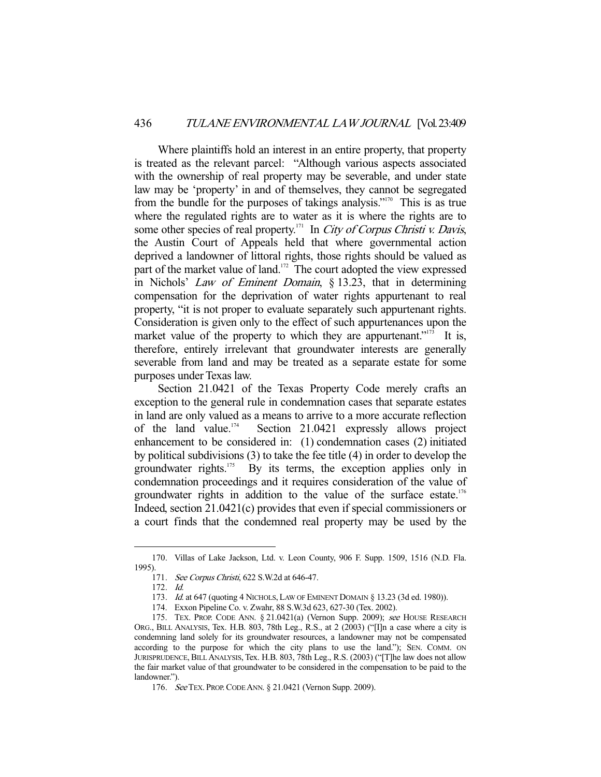Where plaintiffs hold an interest in an entire property, that property is treated as the relevant parcel: "Although various aspects associated with the ownership of real property may be severable, and under state law may be 'property' in and of themselves, they cannot be segregated from the bundle for the purposes of takings analysis."<sup>170</sup> This is as true where the regulated rights are to water as it is where the rights are to some other species of real property.<sup>171</sup> In City of Corpus Christi v. Davis, the Austin Court of Appeals held that where governmental action deprived a landowner of littoral rights, those rights should be valued as part of the market value of land.<sup>172</sup> The court adopted the view expressed in Nichols' Law of Eminent Domain, § 13.23, that in determining compensation for the deprivation of water rights appurtenant to real property, "it is not proper to evaluate separately such appurtenant rights. Consideration is given only to the effect of such appurtenances upon the market value of the property to which they are appurtenant."<sup>173</sup> It is, therefore, entirely irrelevant that groundwater interests are generally severable from land and may be treated as a separate estate for some purposes under Texas law.

 Section 21.0421 of the Texas Property Code merely crafts an exception to the general rule in condemnation cases that separate estates in land are only valued as a means to arrive to a more accurate reflection of the land value.<sup>174</sup> Section 21.0421 expressly allows project enhancement to be considered in: (1) condemnation cases (2) initiated by political subdivisions (3) to take the fee title (4) in order to develop the groundwater rights.<sup>175</sup> By its terms, the exception applies only in condemnation proceedings and it requires consideration of the value of groundwater rights in addition to the value of the surface estate.<sup>176</sup> Indeed, section 21.0421(c) provides that even if special commissioners or a court finds that the condemned real property may be used by the

 <sup>170.</sup> Villas of Lake Jackson, Ltd. v. Leon County, 906 F. Supp. 1509, 1516 (N.D. Fla. 1995).

 <sup>171.</sup> See Corpus Christi, 622 S.W.2d at 646-47.

 <sup>172.</sup> Id.

<sup>173.</sup> Id. at 647 (quoting 4 NICHOLS, LAW OF EMINENT DOMAIN § 13.23 (3d ed. 1980)).

 <sup>174.</sup> Exxon Pipeline Co. v. Zwahr, 88 S.W.3d 623, 627-30 (Tex. 2002).

<sup>175.</sup> TEX. PROP. CODE ANN. § 21.0421(a) (Vernon Supp. 2009); see HOUSE RESEARCH ORG., BILL ANALYSIS, Tex. H.B. 803, 78th Leg., R.S., at 2 (2003) ("[I]n a case where a city is condemning land solely for its groundwater resources, a landowner may not be compensated according to the purpose for which the city plans to use the land."); SEN. COMM. ON JURISPRUDENCE, BILL ANALYSIS, Tex. H.B. 803, 78th Leg., R.S. (2003) ("[T]he law does not allow the fair market value of that groundwater to be considered in the compensation to be paid to the landowner.").

 <sup>176.</sup> See TEX. PROP.CODE ANN. § 21.0421 (Vernon Supp. 2009).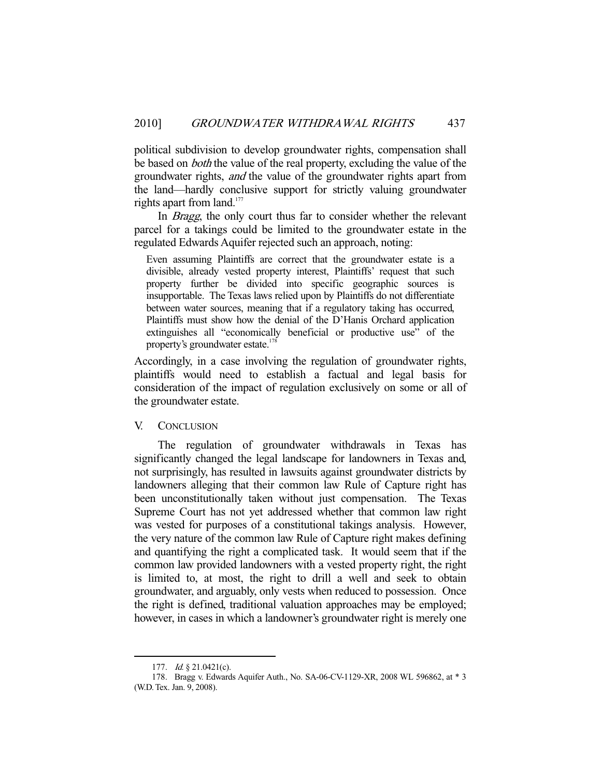political subdivision to develop groundwater rights, compensation shall be based on *both* the value of the real property, excluding the value of the groundwater rights, and the value of the groundwater rights apart from the land—hardly conclusive support for strictly valuing groundwater rights apart from land. $177$ 

 In Bragg, the only court thus far to consider whether the relevant parcel for a takings could be limited to the groundwater estate in the regulated Edwards Aquifer rejected such an approach, noting:

Even assuming Plaintiffs are correct that the groundwater estate is a divisible, already vested property interest, Plaintiffs' request that such property further be divided into specific geographic sources is insupportable. The Texas laws relied upon by Plaintiffs do not differentiate between water sources, meaning that if a regulatory taking has occurred, Plaintiffs must show how the denial of the D'Hanis Orchard application extinguishes all "economically beneficial or productive use" of the property's groundwater estate.<sup>178</sup>

Accordingly, in a case involving the regulation of groundwater rights, plaintiffs would need to establish a factual and legal basis for consideration of the impact of regulation exclusively on some or all of the groundwater estate.

## V. CONCLUSION

 The regulation of groundwater withdrawals in Texas has significantly changed the legal landscape for landowners in Texas and, not surprisingly, has resulted in lawsuits against groundwater districts by landowners alleging that their common law Rule of Capture right has been unconstitutionally taken without just compensation. The Texas Supreme Court has not yet addressed whether that common law right was vested for purposes of a constitutional takings analysis. However, the very nature of the common law Rule of Capture right makes defining and quantifying the right a complicated task. It would seem that if the common law provided landowners with a vested property right, the right is limited to, at most, the right to drill a well and seek to obtain groundwater, and arguably, only vests when reduced to possession. Once the right is defined, traditional valuation approaches may be employed; however, in cases in which a landowner's groundwater right is merely one

<sup>177.</sup> *Id.* § 21.0421(c).

 <sup>178.</sup> Bragg v. Edwards Aquifer Auth., No. SA-06-CV-1129-XR, 2008 WL 596862, at \* 3 (W.D. Tex. Jan. 9, 2008).